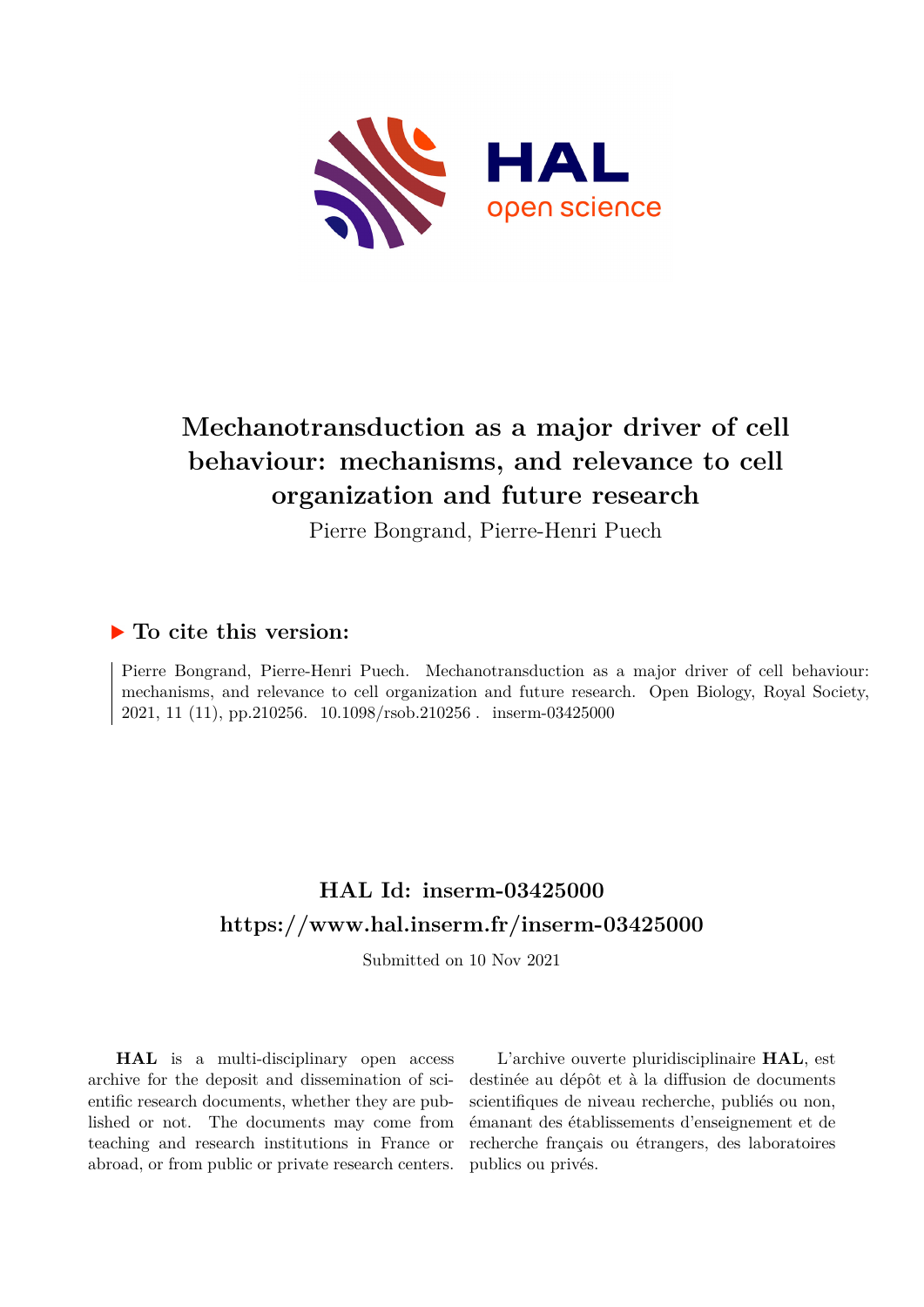

# **Mechanotransduction as a major driver of cell behaviour: mechanisms, and relevance to cell organization and future research**

Pierre Bongrand, Pierre-Henri Puech

### **To cite this version:**

Pierre Bongrand, Pierre-Henri Puech. Mechanotransduction as a major driver of cell behaviour: mechanisms, and relevance to cell organization and future research. Open Biology, Royal Society, 2021, 11 (11), pp.210256. 10.1098/rsob.210256. inserm-03425000

# **HAL Id: inserm-03425000 <https://www.hal.inserm.fr/inserm-03425000>**

Submitted on 10 Nov 2021

**HAL** is a multi-disciplinary open access archive for the deposit and dissemination of scientific research documents, whether they are published or not. The documents may come from teaching and research institutions in France or abroad, or from public or private research centers.

L'archive ouverte pluridisciplinaire **HAL**, est destinée au dépôt et à la diffusion de documents scientifiques de niveau recherche, publiés ou non, émanant des établissements d'enseignement et de recherche français ou étrangers, des laboratoires publics ou privés.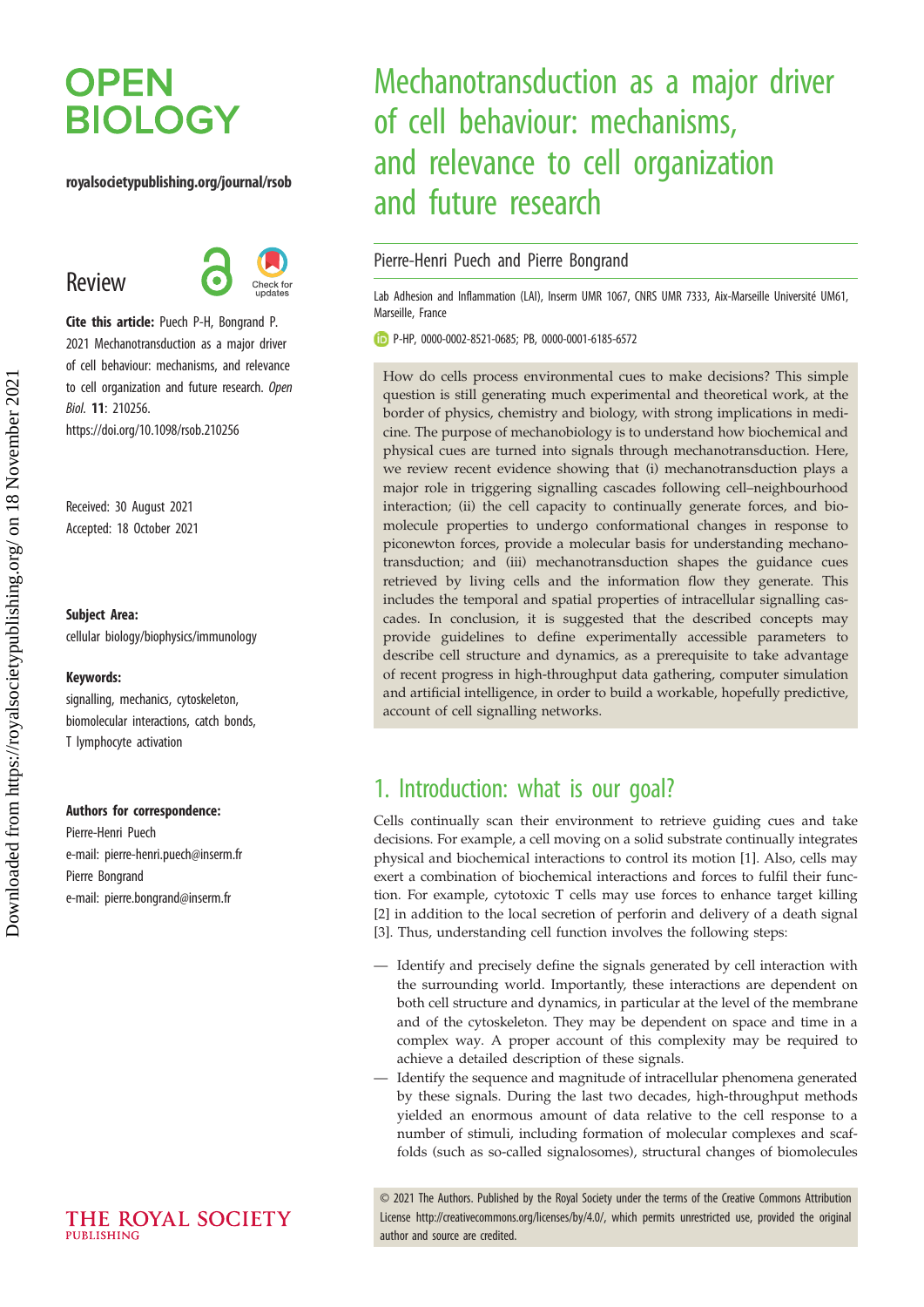# **OPEN BIOLOGY**

#### royalsocietypublishing.org/journal/rsob

Review



Cite this article: Puech P-H, Bongrand P. 2021 Mechanotransduction as a major driver of cell behaviour: mechanisms, and relevance to cell organization and future research. Open Biol. 11: 210256. https://doi.org/10.1098/rsob.210256

Received: 30 August 2021 Accepted: 18 October 2021

#### Subject Area:

cellular biology/biophysics/immunology

#### Keywords:

signalling, mechanics, cytoskeleton, biomolecular interactions, catch bonds, T lymphocyte activation

#### Authors for correspondence:

Pierre-Henri Puech e-mail: [pierre-henri.puech@inserm.fr](mailto:pierre-henri.puech@inserm.fr) Pierre Bongrand e-mail: [pierre.bongrand@inserm.fr](mailto:pierre.bongrand@inserm.fr)

# Mechanotransduction as a major driver of cell behaviour: mechanisms, and relevance to cell organization and future research

### Pierre-Henri Puech and Pierre Bongrand

Lab Adhesion and Inflammation (LAI), Inserm UMR 1067, CNRS UMR 7333, Aix-Marseille Université UM61, Marseille, France

P-HP, [0000-0002-8521-0685;](http://orcid.org/0000-0002-8521-0685) PB, [0000-0001-6185-6572](http://orcid.org/0000-0001-6185-6572)

How do cells process environmental cues to make decisions? This simple question is still generating much experimental and theoretical work, at the border of physics, chemistry and biology, with strong implications in medicine. The purpose of mechanobiology is to understand how biochemical and physical cues are turned into signals through mechanotransduction. Here, we review recent evidence showing that (i) mechanotransduction plays a major role in triggering signalling cascades following cell–neighbourhood interaction; (ii) the cell capacity to continually generate forces, and biomolecule properties to undergo conformational changes in response to piconewton forces, provide a molecular basis for understanding mechanotransduction; and (iii) mechanotransduction shapes the guidance cues retrieved by living cells and the information flow they generate. This includes the temporal and spatial properties of intracellular signalling cascades. In conclusion, it is suggested that the described concepts may provide guidelines to define experimentally accessible parameters to describe cell structure and dynamics, as a prerequisite to take advantage of recent progress in high-throughput data gathering, computer simulation and artificial intelligence, in order to build a workable, hopefully predictive, account of cell signalling networks.

### 1. Introduction: what is our goal?

Cells continually scan their environment to retrieve guiding cues and take decisions. For example, a cell moving on a solid substrate continually integrates physical and biochemical interactions to control its motion [1]. Also, cells may exert a combination of biochemical interactions and forces to fulfil their function. For example, cytotoxic T cells may use forces to enhance target killing [2] in addition to the local secretion of perforin and delivery of a death signal [3]. Thus, understanding cell function involves the following steps:

- Identify and precisely define the signals generated by cell interaction with the surrounding world. Importantly, these interactions are dependent on both cell structure and dynamics, in particular at the level of the membrane and of the cytoskeleton. They may be dependent on space and time in a complex way. A proper account of this complexity may be required to achieve a detailed description of these signals.
- Identify the sequence and magnitude of intracellular phenomena generated by these signals. During the last two decades, high-throughput methods yielded an enormous amount of data relative to the cell response to a number of stimuli, including formation of molecular complexes and scaffolds (such as so-called signalosomes), structural changes of biomolecules

© 2021 The Authors. Published by the Royal Society under the terms of the Creative Commons Attribution License<http://creativecommons.org/licenses/by/4.0/>, which permits unrestricted use, provided the original author and source are credited.

THE ROYAL SOCIETY PUBLISHING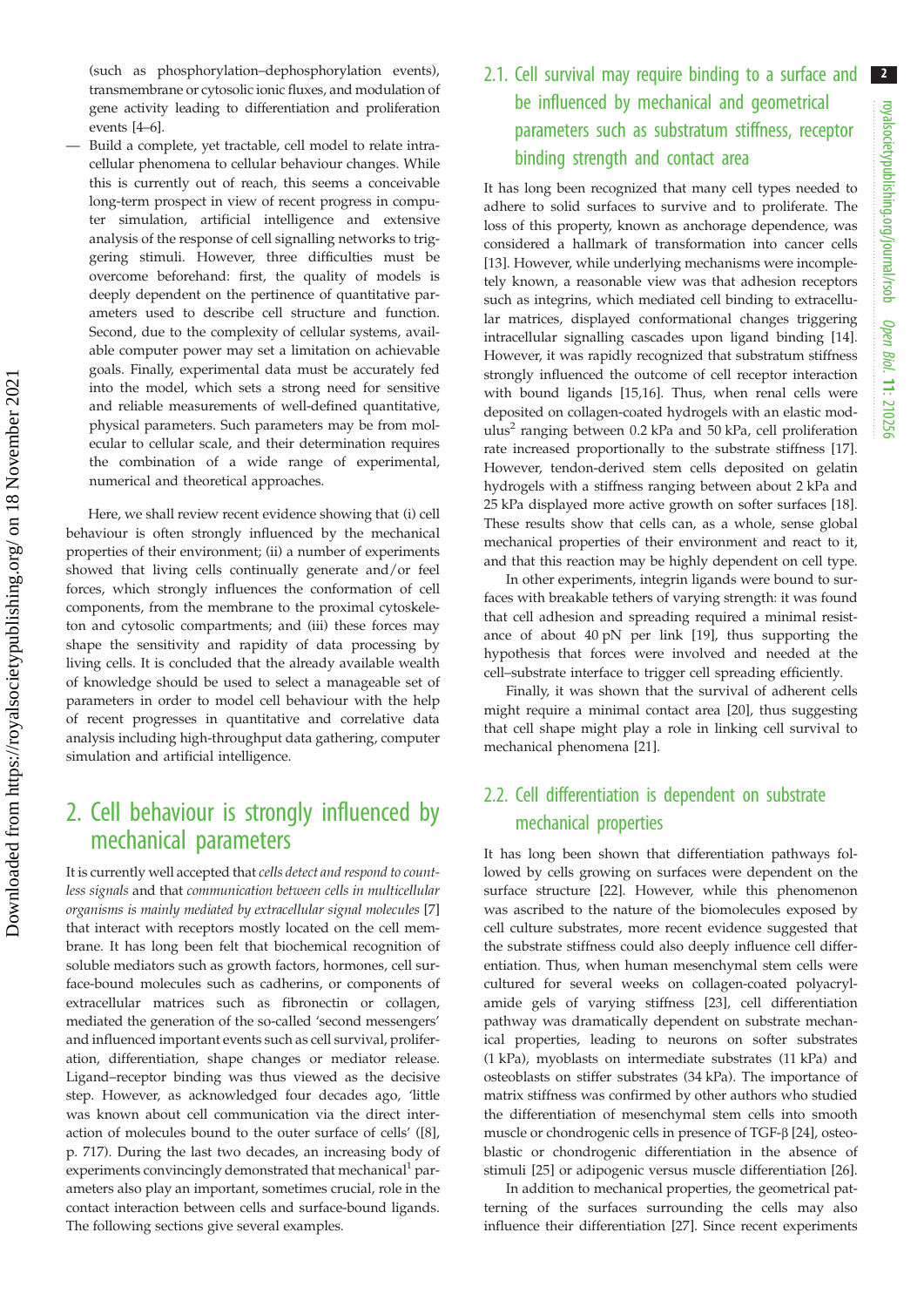(such as phosphorylation–dephosphorylation events), transmembrane or cytosolic ionic fluxes, and modulation of gene activity leading to differentiation and proliferation events [4–6].

— Build a complete, yet tractable, cell model to relate intracellular phenomena to cellular behaviour changes. While this is currently out of reach, this seems a conceivable long-term prospect in view of recent progress in computer simulation, artificial intelligence and extensive analysis of the response of cell signalling networks to triggering stimuli. However, three difficulties must be overcome beforehand: first, the quality of models is deeply dependent on the pertinence of quantitative parameters used to describe cell structure and function. Second, due to the complexity of cellular systems, available computer power may set a limitation on achievable goals. Finally, experimental data must be accurately fed into the model, which sets a strong need for sensitive and reliable measurements of well-defined quantitative, physical parameters. Such parameters may be from molecular to cellular scale, and their determination requires the combination of a wide range of experimental, numerical and theoretical approaches.

Here, we shall review recent evidence showing that (i) cell behaviour is often strongly influenced by the mechanical properties of their environment; (ii) a number of experiments showed that living cells continually generate and/or feel forces, which strongly influences the conformation of cell components, from the membrane to the proximal cytoskeleton and cytosolic compartments; and (iii) these forces may shape the sensitivity and rapidity of data processing by living cells. It is concluded that the already available wealth of knowledge should be used to select a manageable set of parameters in order to model cell behaviour with the help of recent progresses in quantitative and correlative data analysis including high-throughput data gathering, computer simulation and artificial intelligence.

## 2. Cell behaviour is strongly influenced by mechanical parameters

It is currently well accepted that cells detect and respond to countless signals and that communication between cells in multicellular organisms is mainly mediated by extracellular signal molecules [7] that interact with receptors mostly located on the cell membrane. It has long been felt that biochemical recognition of soluble mediators such as growth factors, hormones, cell surface-bound molecules such as cadherins, or components of extracellular matrices such as fibronectin or collagen, mediated the generation of the so-called 'second messengers' and influenced important events such as cell survival, proliferation, differentiation, shape changes or mediator release. Ligand–receptor binding was thus viewed as the decisive step. However, as acknowledged four decades ago, 'little was known about cell communication via the direct interaction of molecules bound to the outer surface of cells' ([8], p. 717). During the last two decades, an increasing body of experiments convincingly demonstrated that mechanical<sup>1</sup> parameters also play an important, sometimes crucial, role in the contact interaction between cells and surface-bound ligands. The following sections give several examples.

## 2.1. Cell survival may require binding to a surface and 2 be influenced by mechanical and geometrical parameters such as substratum stiffness, receptor binding strength and contact area

It has long been recognized that many cell types needed to adhere to solid surfaces to survive and to proliferate. The loss of this property, known as anchorage dependence, was considered a hallmark of transformation into cancer cells [13]. However, while underlying mechanisms were incompletely known, a reasonable view was that adhesion receptors such as integrins, which mediated cell binding to extracellular matrices, displayed conformational changes triggering intracellular signalling cascades upon ligand binding [14]. However, it was rapidly recognized that substratum stiffness strongly influenced the outcome of cell receptor interaction with bound ligands [15,16]. Thus, when renal cells were deposited on collagen-coated hydrogels with an elastic modulus<sup>2</sup> ranging between 0.2 kPa and 50 kPa, cell proliferation rate increased proportionally to the substrate stiffness [17]. However, tendon-derived stem cells deposited on gelatin hydrogels with a stiffness ranging between about 2 kPa and 25 kPa displayed more active growth on softer surfaces [18]. These results show that cells can, as a whole, sense global mechanical properties of their environment and react to it, and that this reaction may be highly dependent on cell type.

In other experiments, integrin ligands were bound to surfaces with breakable tethers of varying strength: it was found that cell adhesion and spreading required a minimal resistance of about 40 pN per link [19], thus supporting the hypothesis that forces were involved and needed at the cell–substrate interface to trigger cell spreading efficiently.

Finally, it was shown that the survival of adherent cells might require a minimal contact area [20], thus suggesting that cell shape might play a role in linking cell survival to mechanical phenomena [21].

### 2.2. Cell differentiation is dependent on substrate mechanical properties

It has long been shown that differentiation pathways followed by cells growing on surfaces were dependent on the surface structure [22]. However, while this phenomenon was ascribed to the nature of the biomolecules exposed by cell culture substrates, more recent evidence suggested that the substrate stiffness could also deeply influence cell differentiation. Thus, when human mesenchymal stem cells were cultured for several weeks on collagen-coated polyacrylamide gels of varying stiffness [23], cell differentiation pathway was dramatically dependent on substrate mechanical properties, leading to neurons on softer substrates (1 kPa), myoblasts on intermediate substrates (11 kPa) and osteoblasts on stiffer substrates (34 kPa). The importance of matrix stiffness was confirmed by other authors who studied the differentiation of mesenchymal stem cells into smooth muscle or chondrogenic cells in presence of TGF-β [24], osteoblastic or chondrogenic differentiation in the absence of stimuli [25] or adipogenic versus muscle differentiation [26].

In addition to mechanical properties, the geometrical patterning of the surfaces surrounding the cells may also influence their differentiation [27]. Since recent experiments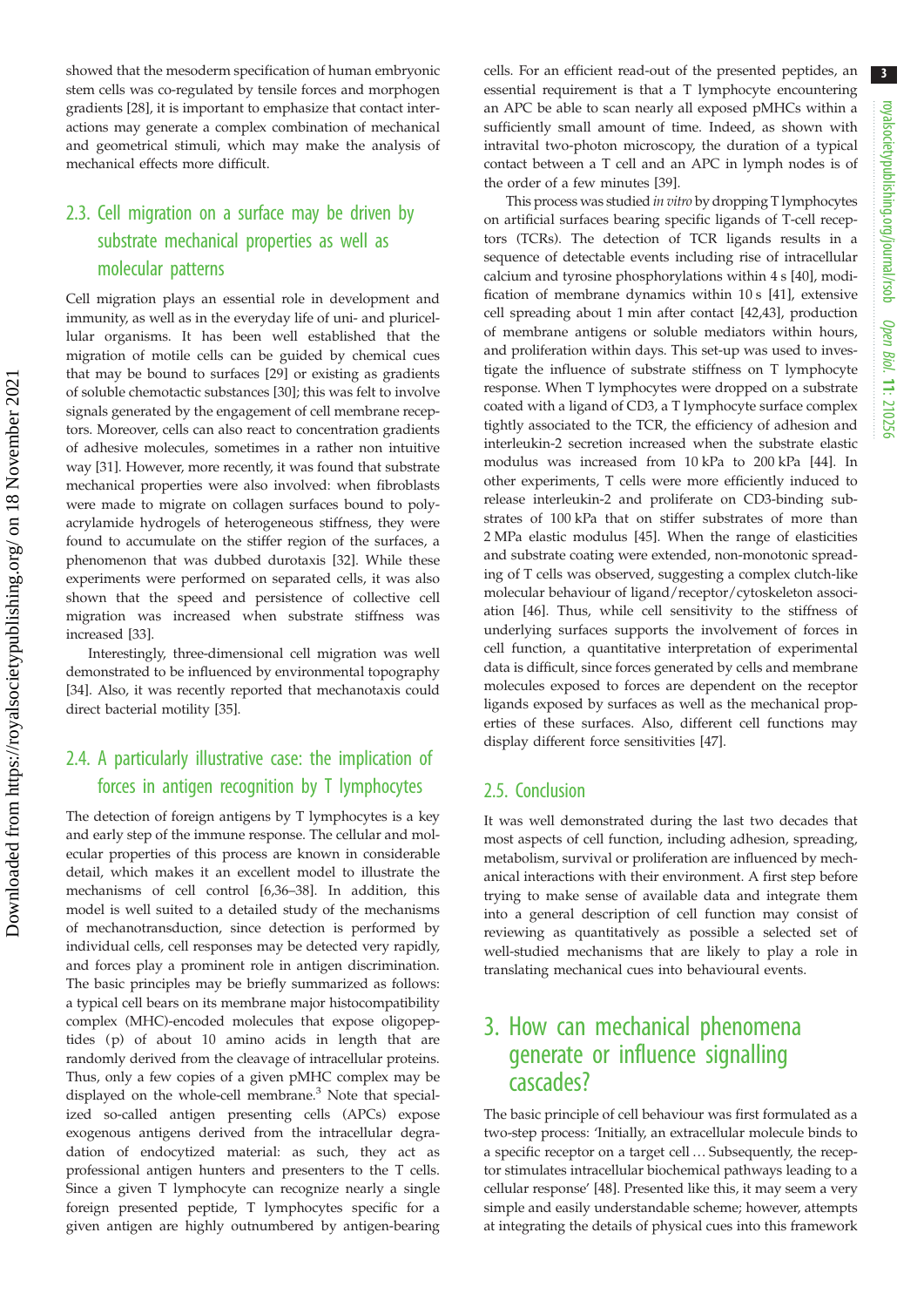showed that the mesoderm specification of human embryonic stem cells was co-regulated by tensile forces and morphogen gradients [28], it is important to emphasize that contact interactions may generate a complex combination of mechanical and geometrical stimuli, which may make the analysis of mechanical effects more difficult.

### 2.3. Cell migration on a surface may be driven by substrate mechanical properties as well as molecular patterns

Cell migration plays an essential role in development and immunity, as well as in the everyday life of uni- and pluricellular organisms. It has been well established that the migration of motile cells can be guided by chemical cues that may be bound to surfaces [29] or existing as gradients of soluble chemotactic substances [30]; this was felt to involve signals generated by the engagement of cell membrane receptors. Moreover, cells can also react to concentration gradients of adhesive molecules, sometimes in a rather non intuitive way [31]. However, more recently, it was found that substrate mechanical properties were also involved: when fibroblasts were made to migrate on collagen surfaces bound to polyacrylamide hydrogels of heterogeneous stiffness, they were found to accumulate on the stiffer region of the surfaces, a phenomenon that was dubbed durotaxis [32]. While these experiments were performed on separated cells, it was also shown that the speed and persistence of collective cell migration was increased when substrate stiffness was increased [33].

Interestingly, three-dimensional cell migration was well demonstrated to be influenced by environmental topography [34]. Also, it was recently reported that mechanotaxis could direct bacterial motility [35].

### 2.4. A particularly illustrative case: the implication of forces in antigen recognition by T lymphocytes

The detection of foreign antigens by T lymphocytes is a key and early step of the immune response. The cellular and molecular properties of this process are known in considerable detail, which makes it an excellent model to illustrate the mechanisms of cell control [6,36–38]. In addition, this model is well suited to a detailed study of the mechanisms of mechanotransduction, since detection is performed by individual cells, cell responses may be detected very rapidly, and forces play a prominent role in antigen discrimination. The basic principles may be briefly summarized as follows: a typical cell bears on its membrane major histocompatibility complex (MHC)-encoded molecules that expose oligopeptides (p) of about 10 amino acids in length that are randomly derived from the cleavage of intracellular proteins. Thus, only a few copies of a given pMHC complex may be displayed on the whole-cell membrane.<sup>3</sup> Note that specialized so-called antigen presenting cells (APCs) expose exogenous antigens derived from the intracellular degradation of endocytized material: as such, they act as professional antigen hunters and presenters to the T cells. Since a given T lymphocyte can recognize nearly a single foreign presented peptide, T lymphocytes specific for a given antigen are highly outnumbered by antigen-bearing cells. For an efficient read-out of the presented peptides, an essential requirement is that a T lymphocyte encountering an APC be able to scan nearly all exposed pMHCs within a sufficiently small amount of time. Indeed, as shown with intravital two-photon microscopy, the duration of a typical contact between a T cell and an APC in lymph nodes is of the order of a few minutes [39].

This process was studied in vitro by dropping T lymphocytes on artificial surfaces bearing specific ligands of T-cell receptors (TCRs). The detection of TCR ligands results in a sequence of detectable events including rise of intracellular calcium and tyrosine phosphorylations within 4 s [40], modification of membrane dynamics within 10 s [41], extensive cell spreading about 1 min after contact [42,43], production of membrane antigens or soluble mediators within hours, and proliferation within days. This set-up was used to investigate the influence of substrate stiffness on T lymphocyte response. When T lymphocytes were dropped on a substrate coated with a ligand of CD3, a T lymphocyte surface complex tightly associated to the TCR, the efficiency of adhesion and interleukin-2 secretion increased when the substrate elastic modulus was increased from 10 kPa to 200 kPa [44]. In other experiments, T cells were more efficiently induced to release interleukin-2 and proliferate on CD3-binding substrates of 100 kPa that on stiffer substrates of more than 2 MPa elastic modulus [45]. When the range of elasticities and substrate coating were extended, non-monotonic spreading of T cells was observed, suggesting a complex clutch-like molecular behaviour of ligand/receptor/cytoskeleton association [46]. Thus, while cell sensitivity to the stiffness of underlying surfaces supports the involvement of forces in cell function, a quantitative interpretation of experimental data is difficult, since forces generated by cells and membrane molecules exposed to forces are dependent on the receptor ligands exposed by surfaces as well as the mechanical properties of these surfaces. Also, different cell functions may display different force sensitivities [47].

### 2.5. Conclusion

It was well demonstrated during the last two decades that most aspects of cell function, including adhesion, spreading, metabolism, survival or proliferation are influenced by mechanical interactions with their environment. A first step before trying to make sense of available data and integrate them into a general description of cell function may consist of reviewing as quantitatively as possible a selected set of well-studied mechanisms that are likely to play a role in translating mechanical cues into behavioural events.

## 3. How can mechanical phenomena generate or influence signalling cascades?

The basic principle of cell behaviour was first formulated as a two-step process: 'Initially, an extracellular molecule binds to a specific receptor on a target cell … Subsequently, the receptor stimulates intracellular biochemical pathways leading to a cellular response' [48]. Presented like this, it may seem a very simple and easily understandable scheme; however, attempts at integrating the details of physical cues into this framework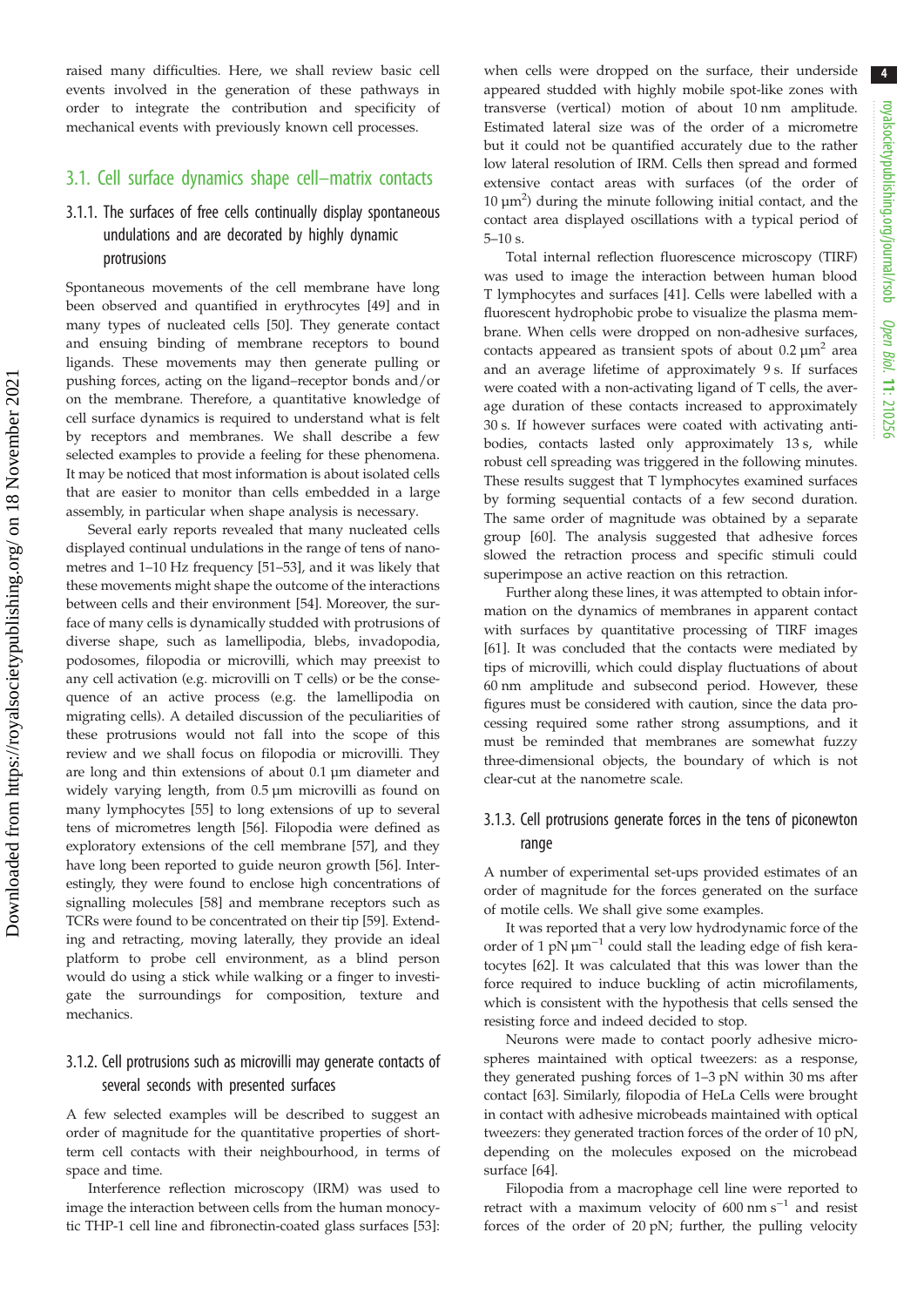royalsocietypublishing.org/journal/rsob Open Biol. 11: 210256

4

raised many difficulties. Here, we shall review basic cell events involved in the generation of these pathways in order to integrate the contribution and specificity of mechanical events with previously known cell processes.

### 3.1. Cell surface dynamics shape cell–matrix contacts

### 3.1.1. The surfaces of free cells continually display spontaneous undulations and are decorated by highly dynamic protrusions

Spontaneous movements of the cell membrane have long been observed and quantified in erythrocytes [49] and in many types of nucleated cells [50]. They generate contact and ensuing binding of membrane receptors to bound ligands. These movements may then generate pulling or pushing forces, acting on the ligand–receptor bonds and/or on the membrane. Therefore, a quantitative knowledge of cell surface dynamics is required to understand what is felt by receptors and membranes. We shall describe a few selected examples to provide a feeling for these phenomena. It may be noticed that most information is about isolated cells that are easier to monitor than cells embedded in a large assembly, in particular when shape analysis is necessary.

Several early reports revealed that many nucleated cells displayed continual undulations in the range of tens of nanometres and 1–10 Hz frequency [51–53], and it was likely that these movements might shape the outcome of the interactions between cells and their environment [54]. Moreover, the surface of many cells is dynamically studded with protrusions of diverse shape, such as lamellipodia, blebs, invadopodia, podosomes, filopodia or microvilli, which may preexist to any cell activation (e.g. microvilli on T cells) or be the consequence of an active process (e.g. the lamellipodia on migrating cells). A detailed discussion of the peculiarities of these protrusions would not fall into the scope of this review and we shall focus on filopodia or microvilli. They are long and thin extensions of about 0.1 µm diameter and widely varying length, from 0.5 µm microvilli as found on many lymphocytes [55] to long extensions of up to several tens of micrometres length [56]. Filopodia were defined as exploratory extensions of the cell membrane [57], and they have long been reported to guide neuron growth [56]. Interestingly, they were found to enclose high concentrations of signalling molecules [58] and membrane receptors such as TCRs were found to be concentrated on their tip [59]. Extending and retracting, moving laterally, they provide an ideal platform to probe cell environment, as a blind person would do using a stick while walking or a finger to investigate the surroundings for composition, texture and mechanics.

### 3.1.2. Cell protrusions such as microvilli may generate contacts of several seconds with presented surfaces

A few selected examples will be described to suggest an order of magnitude for the quantitative properties of shortterm cell contacts with their neighbourhood, in terms of space and time.

Interference reflection microscopy (IRM) was used to image the interaction between cells from the human monocytic THP-1 cell line and fibronectin-coated glass surfaces [53]: when cells were dropped on the surface, their underside appeared studded with highly mobile spot-like zones with transverse (vertical) motion of about 10 nm amplitude. Estimated lateral size was of the order of a micrometre but it could not be quantified accurately due to the rather low lateral resolution of IRM. Cells then spread and formed extensive contact areas with surfaces (of the order of  $10 \mu m^2$ ) during the minute following initial contact, and the contact area displayed oscillations with a typical period of 5–10 s.

Total internal reflection fluorescence microscopy (TIRF) was used to image the interaction between human blood T lymphocytes and surfaces [41]. Cells were labelled with a fluorescent hydrophobic probe to visualize the plasma membrane. When cells were dropped on non-adhesive surfaces, contacts appeared as transient spots of about  $0.2 \mu m^2$  area and an average lifetime of approximately 9 s. If surfaces were coated with a non-activating ligand of T cells, the average duration of these contacts increased to approximately 30 s. If however surfaces were coated with activating antibodies, contacts lasted only approximately 13 s, while robust cell spreading was triggered in the following minutes. These results suggest that T lymphocytes examined surfaces by forming sequential contacts of a few second duration. The same order of magnitude was obtained by a separate group [60]. The analysis suggested that adhesive forces slowed the retraction process and specific stimuli could superimpose an active reaction on this retraction.

Further along these lines, it was attempted to obtain information on the dynamics of membranes in apparent contact with surfaces by quantitative processing of TIRF images [61]. It was concluded that the contacts were mediated by tips of microvilli, which could display fluctuations of about 60 nm amplitude and subsecond period. However, these figures must be considered with caution, since the data processing required some rather strong assumptions, and it must be reminded that membranes are somewhat fuzzy three-dimensional objects, the boundary of which is not clear-cut at the nanometre scale.

### 3.1.3. Cell protrusions generate forces in the tens of piconewton range

A number of experimental set-ups provided estimates of an order of magnitude for the forces generated on the surface of motile cells. We shall give some examples.

It was reported that a very low hydrodynamic force of the order of 1 pN  $\mu$ m<sup>-1</sup> could stall the leading edge of fish keratocytes [62]. It was calculated that this was lower than the force required to induce buckling of actin microfilaments, which is consistent with the hypothesis that cells sensed the resisting force and indeed decided to stop.

Neurons were made to contact poorly adhesive microspheres maintained with optical tweezers: as a response, they generated pushing forces of 1–3 pN within 30 ms after contact [63]. Similarly, filopodia of HeLa Cells were brought in contact with adhesive microbeads maintained with optical tweezers: they generated traction forces of the order of 10 pN, depending on the molecules exposed on the microbead surface [64].

Filopodia from a macrophage cell line were reported to retract with a maximum velocity of 600  $\text{nm s}^{-1}$  and resist forces of the order of 20 pN; further, the pulling velocity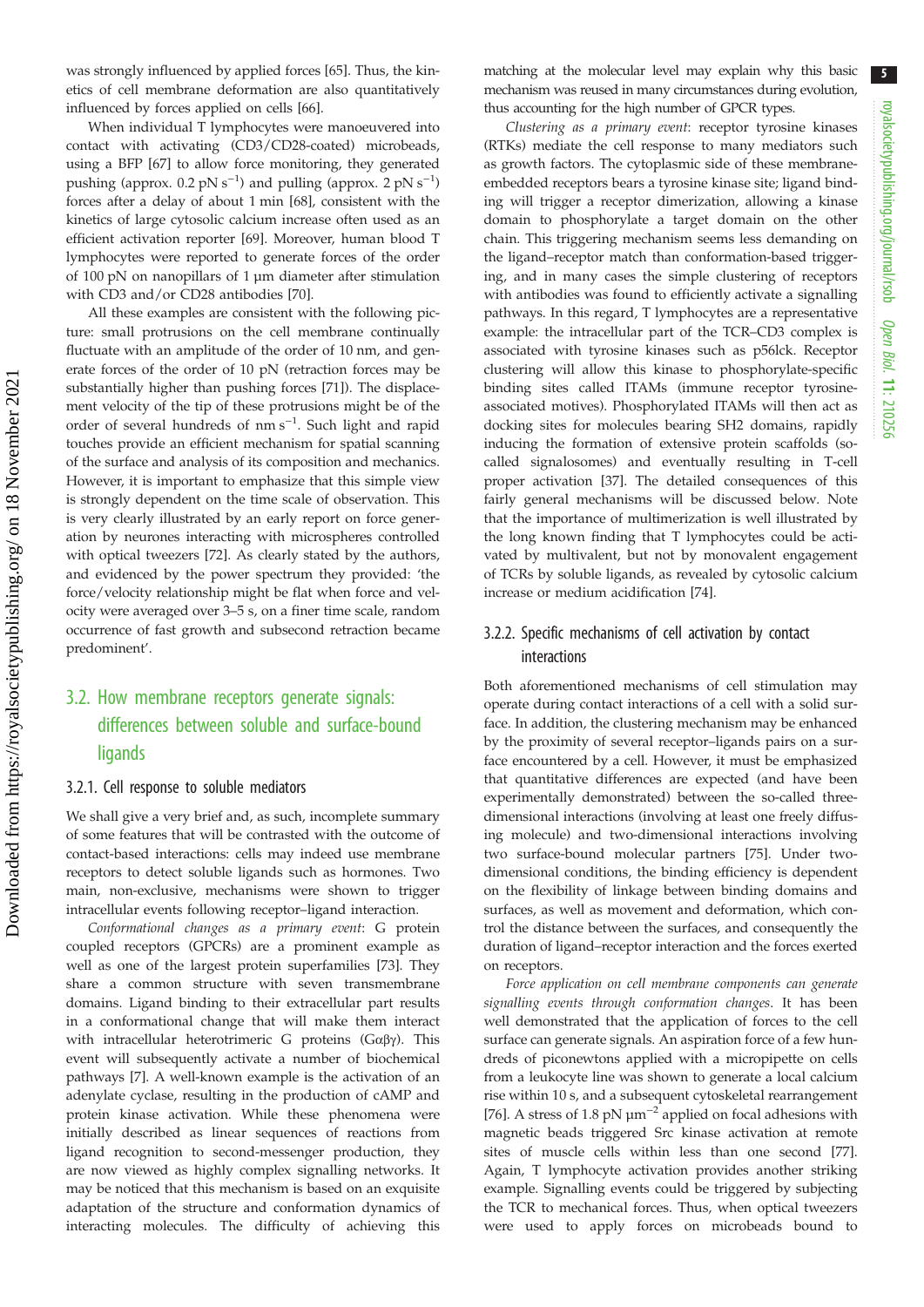was strongly influenced by applied forces [65]. Thus, the kinetics of cell membrane deformation are also quantitatively influenced by forces applied on cells [66].

When individual T lymphocytes were manoeuvered into contact with activating (CD3/CD28-coated) microbeads, using a BFP [67] to allow force monitoring, they generated pushing (approx. 0.2 pN s<sup>-1</sup>) and pulling (approx. 2 pN s<sup>-1</sup>) forces after a delay of about 1 min [68], consistent with the kinetics of large cytosolic calcium increase often used as an efficient activation reporter [69]. Moreover, human blood T lymphocytes were reported to generate forces of the order of 100 pN on nanopillars of 1 µm diameter after stimulation with CD3 and/or CD28 antibodies [70].

All these examples are consistent with the following picture: small protrusions on the cell membrane continually fluctuate with an amplitude of the order of 10 nm, and generate forces of the order of 10 pN (retraction forces may be substantially higher than pushing forces [71]). The displacement velocity of the tip of these protrusions might be of the order of several hundreds of nm s<sup>-1</sup>. Such light and rapid touches provide an efficient mechanism for spatial scanning of the surface and analysis of its composition and mechanics. However, it is important to emphasize that this simple view is strongly dependent on the time scale of observation. This is very clearly illustrated by an early report on force generation by neurones interacting with microspheres controlled with optical tweezers [72]. As clearly stated by the authors, and evidenced by the power spectrum they provided: 'the force/velocity relationship might be flat when force and velocity were averaged over 3–5 s, on a finer time scale, random occurrence of fast growth and subsecond retraction became predominent'.

### 3.2. How membrane receptors generate signals: differences between soluble and surface-bound **ligands**

#### 3.2.1. Cell response to soluble mediators

We shall give a very brief and, as such, incomplete summary of some features that will be contrasted with the outcome of contact-based interactions: cells may indeed use membrane receptors to detect soluble ligands such as hormones. Two main, non-exclusive, mechanisms were shown to trigger intracellular events following receptor–ligand interaction.

Conformational changes as a primary event: G protein coupled receptors (GPCRs) are a prominent example as well as one of the largest protein superfamilies [73]. They share a common structure with seven transmembrane domains. Ligand binding to their extracellular part results in a conformational change that will make them interact with intracellular heterotrimeric G proteins ( $G\alpha\beta\gamma$ ). This event will subsequently activate a number of biochemical pathways [7]. A well-known example is the activation of an adenylate cyclase, resulting in the production of cAMP and protein kinase activation. While these phenomena were initially described as linear sequences of reactions from ligand recognition to second-messenger production, they are now viewed as highly complex signalling networks. It may be noticed that this mechanism is based on an exquisite adaptation of the structure and conformation dynamics of interacting molecules. The difficulty of achieving this matching at the molecular level may explain why this basic mechanism was reused in many circumstances during evolution, thus accounting for the high number of GPCR types.

Clustering as a primary event: receptor tyrosine kinases (RTKs) mediate the cell response to many mediators such as growth factors. The cytoplasmic side of these membraneembedded receptors bears a tyrosine kinase site; ligand binding will trigger a receptor dimerization, allowing a kinase domain to phosphorylate a target domain on the other chain. This triggering mechanism seems less demanding on the ligand–receptor match than conformation-based triggering, and in many cases the simple clustering of receptors with antibodies was found to efficiently activate a signalling pathways. In this regard, T lymphocytes are a representative example: the intracellular part of the TCR–CD3 complex is associated with tyrosine kinases such as p56lck. Receptor clustering will allow this kinase to phosphorylate-specific binding sites called ITAMs (immune receptor tyrosineassociated motives). Phosphorylated ITAMs will then act as docking sites for molecules bearing SH2 domains, rapidly inducing the formation of extensive protein scaffolds (socalled signalosomes) and eventually resulting in T-cell proper activation [37]. The detailed consequences of this fairly general mechanisms will be discussed below. Note that the importance of multimerization is well illustrated by the long known finding that T lymphocytes could be activated by multivalent, but not by monovalent engagement of TCRs by soluble ligands, as revealed by cytosolic calcium increase or medium acidification [74].

### 3.2.2. Specific mechanisms of cell activation by contact interactions

Both aforementioned mechanisms of cell stimulation may operate during contact interactions of a cell with a solid surface. In addition, the clustering mechanism may be enhanced by the proximity of several receptor–ligands pairs on a surface encountered by a cell. However, it must be emphasized that quantitative differences are expected (and have been experimentally demonstrated) between the so-called threedimensional interactions (involving at least one freely diffusing molecule) and two-dimensional interactions involving two surface-bound molecular partners [75]. Under twodimensional conditions, the binding efficiency is dependent on the flexibility of linkage between binding domains and surfaces, as well as movement and deformation, which control the distance between the surfaces, and consequently the duration of ligand–receptor interaction and the forces exerted on receptors.

Force application on cell membrane components can generate signalling events through conformation changes. It has been well demonstrated that the application of forces to the cell surface can generate signals. An aspiration force of a few hundreds of piconewtons applied with a micropipette on cells from a leukocyte line was shown to generate a local calcium rise within 10 s, and a subsequent cytoskeletal rearrangement [76]. A stress of 1.8 pN  $\mu$ m<sup>-2</sup> applied on focal adhesions with magnetic beads triggered Src kinase activation at remote sites of muscle cells within less than one second [77]. Again, T lymphocyte activation provides another striking example. Signalling events could be triggered by subjecting the TCR to mechanical forces. Thus, when optical tweezers were used to apply forces on microbeads bound to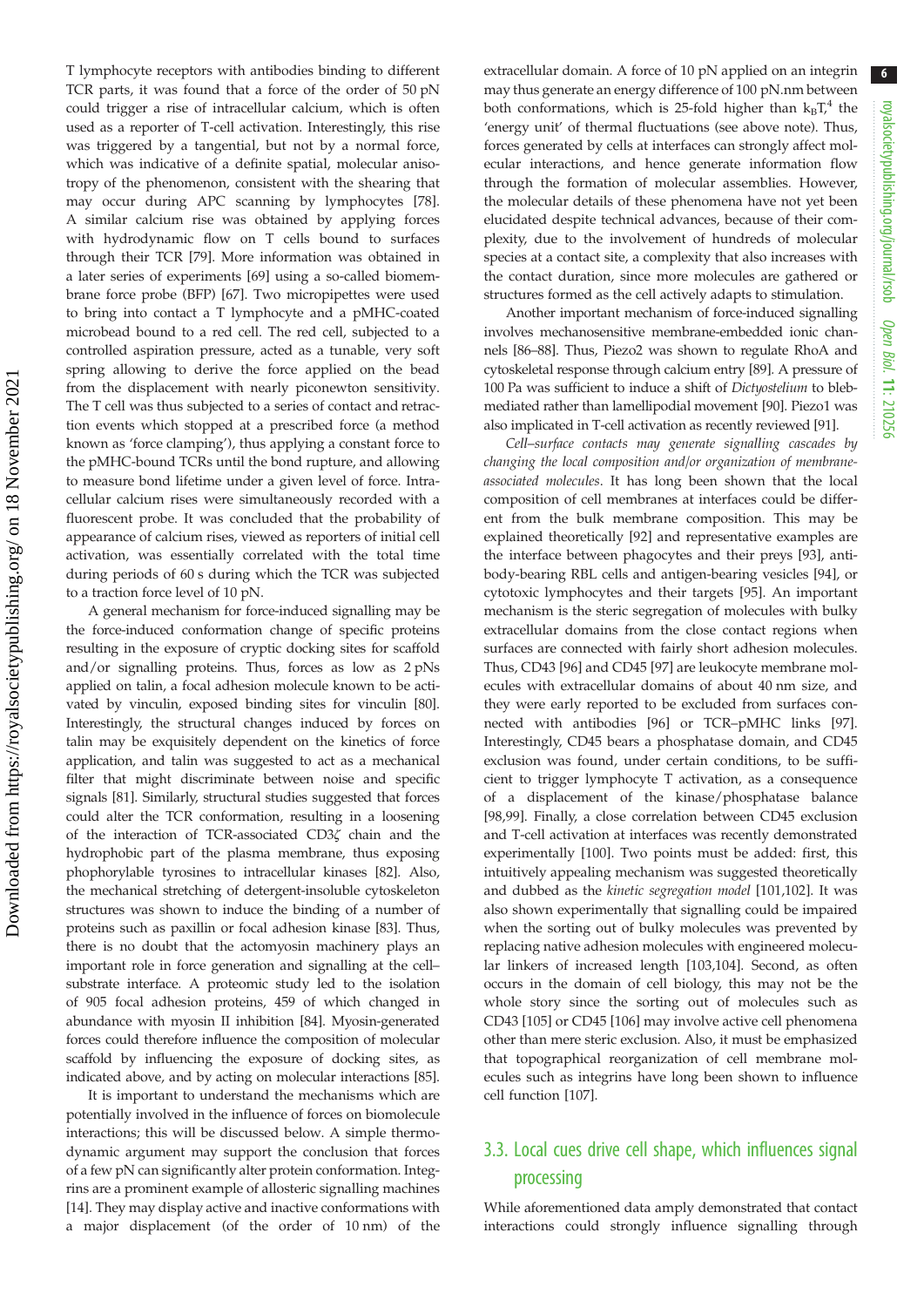T lymphocyte receptors with antibodies binding to different TCR parts, it was found that a force of the order of 50 pN could trigger a rise of intracellular calcium, which is often used as a reporter of T-cell activation. Interestingly, this rise was triggered by a tangential, but not by a normal force, which was indicative of a definite spatial, molecular anisotropy of the phenomenon, consistent with the shearing that may occur during APC scanning by lymphocytes [78]. A similar calcium rise was obtained by applying forces with hydrodynamic flow on T cells bound to surfaces through their TCR [79]. More information was obtained in a later series of experiments [69] using a so-called biomembrane force probe (BFP) [67]. Two micropipettes were used to bring into contact a T lymphocyte and a pMHC-coated microbead bound to a red cell. The red cell, subjected to a controlled aspiration pressure, acted as a tunable, very soft spring allowing to derive the force applied on the bead from the displacement with nearly piconewton sensitivity. The T cell was thus subjected to a series of contact and retraction events which stopped at a prescribed force (a method known as 'force clamping'), thus applying a constant force to the pMHC-bound TCRs until the bond rupture, and allowing to measure bond lifetime under a given level of force. Intracellular calcium rises were simultaneously recorded with a fluorescent probe. It was concluded that the probability of appearance of calcium rises, viewed as reporters of initial cell activation, was essentially correlated with the total time during periods of 60 s during which the TCR was subjected to a traction force level of 10 pN.

A general mechanism for force-induced signalling may be the force-induced conformation change of specific proteins resulting in the exposure of cryptic docking sites for scaffold and/or signalling proteins. Thus, forces as low as 2 pNs applied on talin, a focal adhesion molecule known to be activated by vinculin, exposed binding sites for vinculin [80]. Interestingly, the structural changes induced by forces on talin may be exquisitely dependent on the kinetics of force application, and talin was suggested to act as a mechanical filter that might discriminate between noise and specific signals [81]. Similarly, structural studies suggested that forces could alter the TCR conformation, resulting in a loosening of the interaction of TCR-associated CD3ζ chain and the hydrophobic part of the plasma membrane, thus exposing phophorylable tyrosines to intracellular kinases [82]. Also, the mechanical stretching of detergent-insoluble cytoskeleton structures was shown to induce the binding of a number of proteins such as paxillin or focal adhesion kinase [83]. Thus, there is no doubt that the actomyosin machinery plays an important role in force generation and signalling at the cell– substrate interface. A proteomic study led to the isolation of 905 focal adhesion proteins, 459 of which changed in abundance with myosin II inhibition [84]. Myosin-generated forces could therefore influence the composition of molecular scaffold by influencing the exposure of docking sites, as indicated above, and by acting on molecular interactions [85].

It is important to understand the mechanisms which are potentially involved in the influence of forces on biomolecule interactions; this will be discussed below. A simple thermodynamic argument may support the conclusion that forces of a few pN can significantly alter protein conformation. Integrins are a prominent example of allosteric signalling machines [14]. They may display active and inactive conformations with a major displacement (of the order of 10 nm) of the extracellular domain. A force of 10 pN applied on an integrin may thus generate an energy difference of 100 pN.nm between both conformations, which is 25-fold higher than  $k_BT^4$  the 'energy unit' of thermal fluctuations (see above note). Thus, forces generated by cells at interfaces can strongly affect molecular interactions, and hence generate information flow through the formation of molecular assemblies. However, the molecular details of these phenomena have not yet been elucidated despite technical advances, because of their complexity, due to the involvement of hundreds of molecular species at a contact site, a complexity that also increases with the contact duration, since more molecules are gathered or structures formed as the cell actively adapts to stimulation.

Another important mechanism of force-induced signalling involves mechanosensitive membrane-embedded ionic channels [86–88]. Thus, Piezo2 was shown to regulate RhoA and cytoskeletal response through calcium entry [89]. A pressure of 100 Pa was sufficient to induce a shift of Dictyostelium to blebmediated rather than lamellipodial movement [90]. Piezo1 was also implicated in T-cell activation as recently reviewed [91].

Cell–surface contacts may generate signalling cascades by changing the local composition and/or organization of membraneassociated molecules. It has long been shown that the local composition of cell membranes at interfaces could be different from the bulk membrane composition. This may be explained theoretically [92] and representative examples are the interface between phagocytes and their preys [93], antibody-bearing RBL cells and antigen-bearing vesicles [94], or cytotoxic lymphocytes and their targets [95]. An important mechanism is the steric segregation of molecules with bulky extracellular domains from the close contact regions when surfaces are connected with fairly short adhesion molecules. Thus, CD43 [96] and CD45 [97] are leukocyte membrane molecules with extracellular domains of about 40 nm size, and they were early reported to be excluded from surfaces connected with antibodies [96] or TCR–pMHC links [97]. Interestingly, CD45 bears a phosphatase domain, and CD45 exclusion was found, under certain conditions, to be sufficient to trigger lymphocyte T activation, as a consequence of a displacement of the kinase/phosphatase balance [98,99]. Finally, a close correlation between CD45 exclusion and T-cell activation at interfaces was recently demonstrated experimentally [100]. Two points must be added: first, this intuitively appealing mechanism was suggested theoretically and dubbed as the kinetic segregation model [101,102]. It was also shown experimentally that signalling could be impaired when the sorting out of bulky molecules was prevented by replacing native adhesion molecules with engineered molecular linkers of increased length [103,104]. Second, as often occurs in the domain of cell biology, this may not be the whole story since the sorting out of molecules such as CD43 [105] or CD45 [106] may involve active cell phenomena other than mere steric exclusion. Also, it must be emphasized that topographical reorganization of cell membrane molecules such as integrins have long been shown to influence cell function [107].

### 3.3. Local cues drive cell shape, which influences signal processing

While aforementioned data amply demonstrated that contact interactions could strongly influence signalling through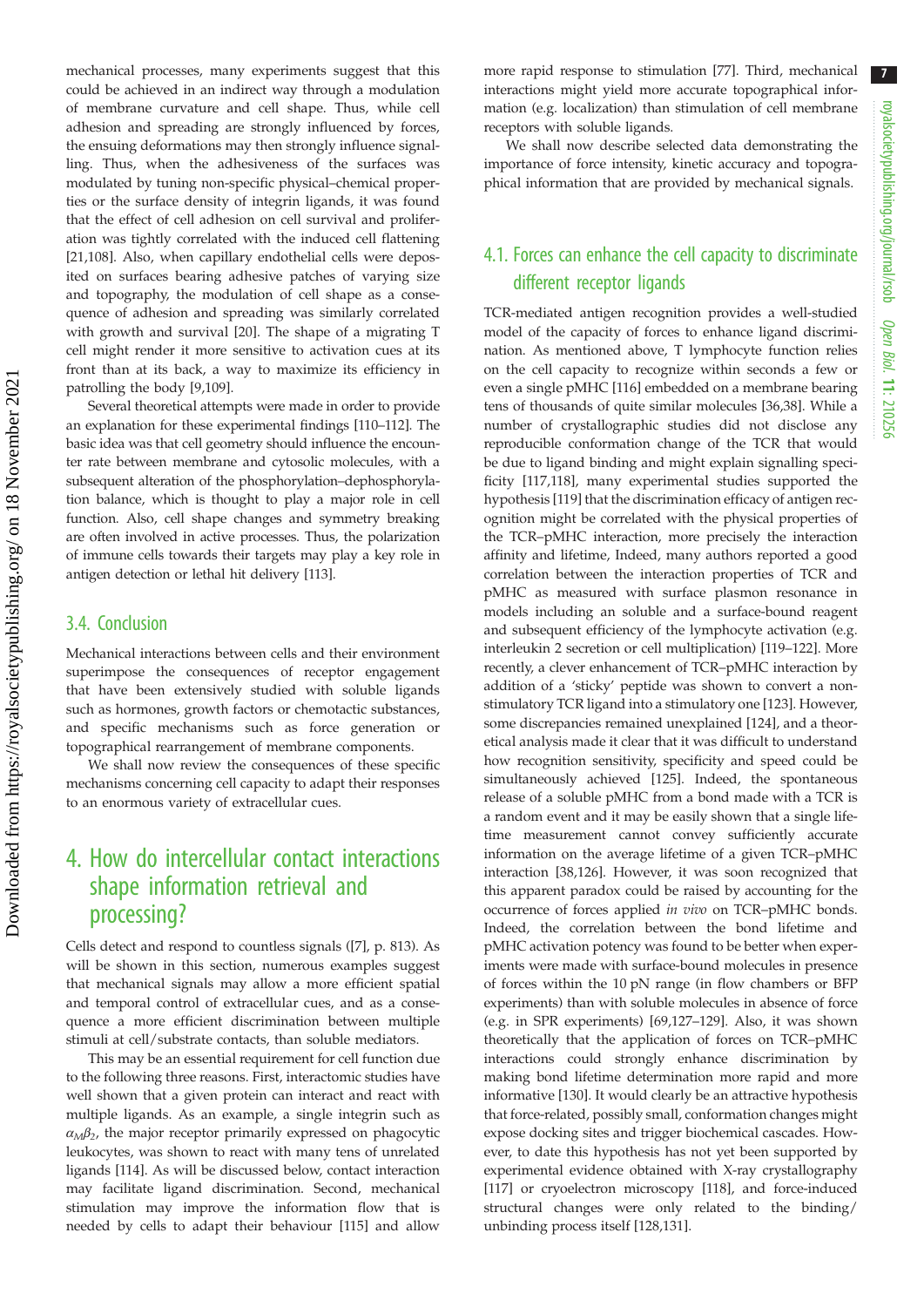mechanical processes, many experiments suggest that this could be achieved in an indirect way through a modulation of membrane curvature and cell shape. Thus, while cell adhesion and spreading are strongly influenced by forces, the ensuing deformations may then strongly influence signalling. Thus, when the adhesiveness of the surfaces was modulated by tuning non-specific physical–chemical properties or the surface density of integrin ligands, it was found that the effect of cell adhesion on cell survival and proliferation was tightly correlated with the induced cell flattening [21,108]. Also, when capillary endothelial cells were deposited on surfaces bearing adhesive patches of varying size and topography, the modulation of cell shape as a consequence of adhesion and spreading was similarly correlated with growth and survival [20]. The shape of a migrating T cell might render it more sensitive to activation cues at its front than at its back, a way to maximize its efficiency in patrolling the body [9,109].

Several theoretical attempts were made in order to provide an explanation for these experimental findings [110–112]. The basic idea was that cell geometry should influence the encounter rate between membrane and cytosolic molecules, with a subsequent alteration of the phosphorylation–dephosphorylation balance, which is thought to play a major role in cell function. Also, cell shape changes and symmetry breaking are often involved in active processes. Thus, the polarization of immune cells towards their targets may play a key role in antigen detection or lethal hit delivery [113].

### 3.4. Conclusion

Mechanical interactions between cells and their environment superimpose the consequences of receptor engagement that have been extensively studied with soluble ligands such as hormones, growth factors or chemotactic substances, and specific mechanisms such as force generation or topographical rearrangement of membrane components.

We shall now review the consequences of these specific mechanisms concerning cell capacity to adapt their responses to an enormous variety of extracellular cues.

# 4. How do intercellular contact interactions shape information retrieval and processing?

Cells detect and respond to countless signals ([7], p. 813). As will be shown in this section, numerous examples suggest that mechanical signals may allow a more efficient spatial and temporal control of extracellular cues, and as a consequence a more efficient discrimination between multiple stimuli at cell/substrate contacts, than soluble mediators.

This may be an essential requirement for cell function due to the following three reasons. First, interactomic studies have well shown that a given protein can interact and react with multiple ligands. As an example, a single integrin such as  $\alpha_M\beta_2$ , the major receptor primarily expressed on phagocytic leukocytes, was shown to react with many tens of unrelated ligands [114]. As will be discussed below, contact interaction may facilitate ligand discrimination. Second, mechanical stimulation may improve the information flow that is needed by cells to adapt their behaviour [115] and allow more rapid response to stimulation [77]. Third, mechanical interactions might yield more accurate topographical information (e.g. localization) than stimulation of cell membrane receptors with soluble ligands.

We shall now describe selected data demonstrating the importance of force intensity, kinetic accuracy and topographical information that are provided by mechanical signals.

### 4.1. Forces can enhance the cell capacity to discriminate different receptor ligands

TCR-mediated antigen recognition provides a well-studied model of the capacity of forces to enhance ligand discrimination. As mentioned above, T lymphocyte function relies on the cell capacity to recognize within seconds a few or even a single pMHC [116] embedded on a membrane bearing tens of thousands of quite similar molecules [36,38]. While a number of crystallographic studies did not disclose any reproducible conformation change of the TCR that would be due to ligand binding and might explain signalling specificity [117,118], many experimental studies supported the hypothesis [119] that the discrimination efficacy of antigen recognition might be correlated with the physical properties of the TCR–pMHC interaction, more precisely the interaction affinity and lifetime, Indeed, many authors reported a good correlation between the interaction properties of TCR and pMHC as measured with surface plasmon resonance in models including an soluble and a surface-bound reagent and subsequent efficiency of the lymphocyte activation (e.g. interleukin 2 secretion or cell multiplication) [119–122]. More recently, a clever enhancement of TCR–pMHC interaction by addition of a 'sticky' peptide was shown to convert a nonstimulatory TCR ligand into a stimulatory one [123]. However, some discrepancies remained unexplained [124], and a theoretical analysis made it clear that it was difficult to understand how recognition sensitivity, specificity and speed could be simultaneously achieved [125]. Indeed, the spontaneous release of a soluble pMHC from a bond made with a TCR is a random event and it may be easily shown that a single lifetime measurement cannot convey sufficiently accurate information on the average lifetime of a given TCR–pMHC interaction [38,126]. However, it was soon recognized that this apparent paradox could be raised by accounting for the occurrence of forces applied in vivo on TCR–pMHC bonds. Indeed, the correlation between the bond lifetime and pMHC activation potency was found to be better when experiments were made with surface-bound molecules in presence of forces within the 10 pN range (in flow chambers or BFP experiments) than with soluble molecules in absence of force (e.g. in SPR experiments) [69,127–129]. Also, it was shown theoretically that the application of forces on TCR–pMHC interactions could strongly enhance discrimination by making bond lifetime determination more rapid and more informative [130]. It would clearly be an attractive hypothesis that force-related, possibly small, conformation changes might expose docking sites and trigger biochemical cascades. However, to date this hypothesis has not yet been supported by experimental evidence obtained with X-ray crystallography [117] or cryoelectron microscopy [118], and force-induced structural changes were only related to the binding/ unbinding process itself [128,131].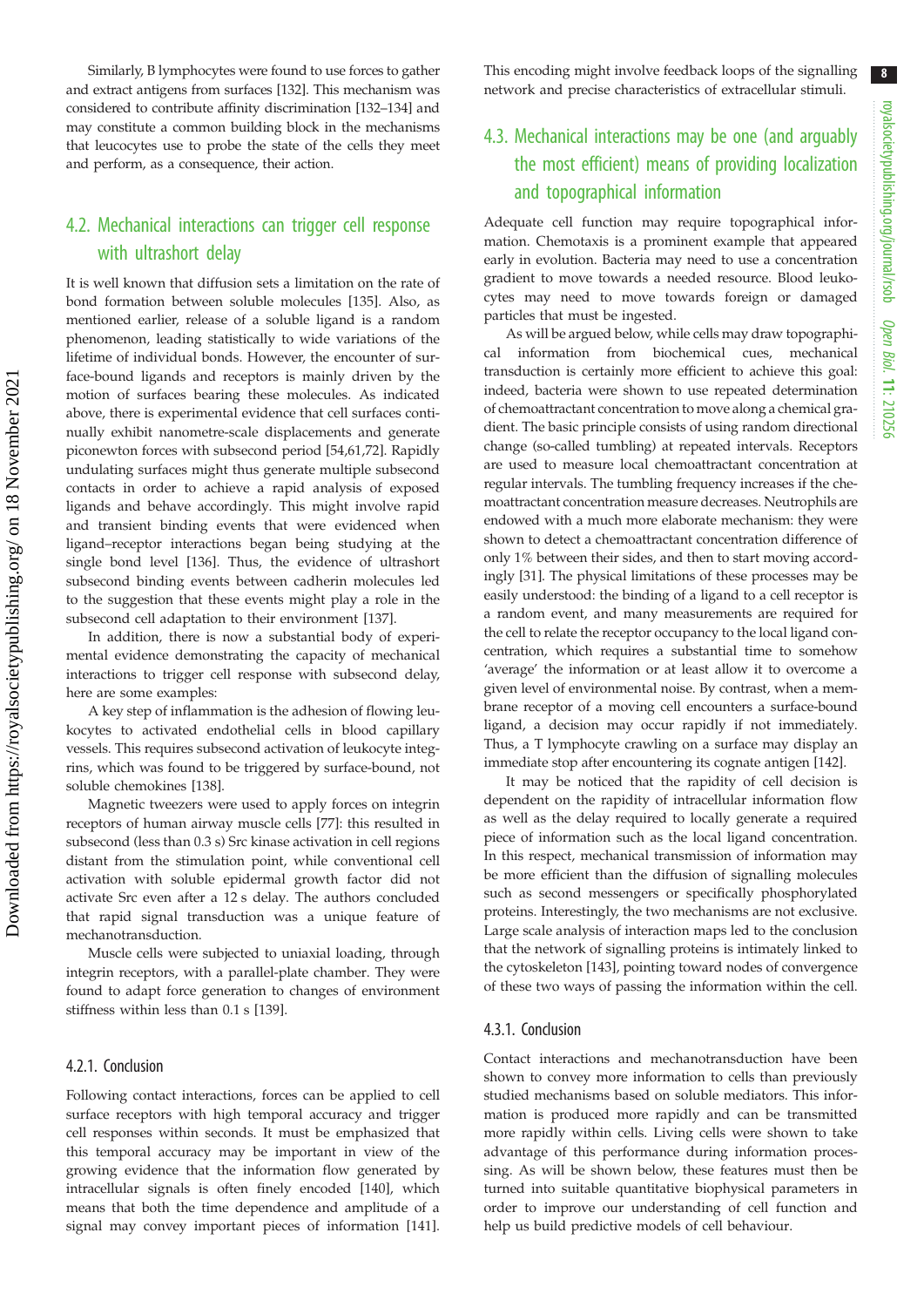Similarly, B lymphocytes were found to use forces to gather and extract antigens from surfaces [132]. This mechanism was considered to contribute affinity discrimination [132–134] and may constitute a common building block in the mechanisms that leucocytes use to probe the state of the cells they meet and perform, as a consequence, their action.

### 4.2. Mechanical interactions can trigger cell response with ultrashort delay

It is well known that diffusion sets a limitation on the rate of bond formation between soluble molecules [135]. Also, as mentioned earlier, release of a soluble ligand is a random phenomenon, leading statistically to wide variations of the lifetime of individual bonds. However, the encounter of surface-bound ligands and receptors is mainly driven by the motion of surfaces bearing these molecules. As indicated above, there is experimental evidence that cell surfaces continually exhibit nanometre-scale displacements and generate piconewton forces with subsecond period [54,61,72]. Rapidly undulating surfaces might thus generate multiple subsecond contacts in order to achieve a rapid analysis of exposed ligands and behave accordingly. This might involve rapid and transient binding events that were evidenced when ligand–receptor interactions began being studying at the single bond level [136]. Thus, the evidence of ultrashort subsecond binding events between cadherin molecules led to the suggestion that these events might play a role in the subsecond cell adaptation to their environment [137].

In addition, there is now a substantial body of experimental evidence demonstrating the capacity of mechanical interactions to trigger cell response with subsecond delay, here are some examples:

A key step of inflammation is the adhesion of flowing leukocytes to activated endothelial cells in blood capillary vessels. This requires subsecond activation of leukocyte integrins, which was found to be triggered by surface-bound, not soluble chemokines [138].

Magnetic tweezers were used to apply forces on integrin receptors of human airway muscle cells [77]: this resulted in subsecond (less than 0.3 s) Src kinase activation in cell regions distant from the stimulation point, while conventional cell activation with soluble epidermal growth factor did not activate Src even after a 12 s delay. The authors concluded that rapid signal transduction was a unique feature of mechanotransduction.

Muscle cells were subjected to uniaxial loading, through integrin receptors, with a parallel-plate chamber. They were found to adapt force generation to changes of environment stiffness within less than 0.1 s [139].

#### 4.2.1. Conclusion

Following contact interactions, forces can be applied to cell surface receptors with high temporal accuracy and trigger cell responses within seconds. It must be emphasized that this temporal accuracy may be important in view of the growing evidence that the information flow generated by intracellular signals is often finely encoded [140], which means that both the time dependence and amplitude of a signal may convey important pieces of information [141]. This encoding might involve feedback loops of the signalling network and precise characteristics of extracellular stimuli.

### 4.3. Mechanical interactions may be one (and arguably the most efficient) means of providing localization and topographical information

Adequate cell function may require topographical information. Chemotaxis is a prominent example that appeared early in evolution. Bacteria may need to use a concentration gradient to move towards a needed resource. Blood leukocytes may need to move towards foreign or damaged particles that must be ingested.

As will be argued below, while cells may draw topographical information from biochemical cues, mechanical transduction is certainly more efficient to achieve this goal: indeed, bacteria were shown to use repeated determination of chemoattractant concentration to move along a chemical gradient. The basic principle consists of using random directional change (so-called tumbling) at repeated intervals. Receptors are used to measure local chemoattractant concentration at regular intervals. The tumbling frequency increases if the chemoattractant concentration measure decreases. Neutrophils are endowed with a much more elaborate mechanism: they were shown to detect a chemoattractant concentration difference of only 1% between their sides, and then to start moving accordingly [31]. The physical limitations of these processes may be easily understood: the binding of a ligand to a cell receptor is a random event, and many measurements are required for the cell to relate the receptor occupancy to the local ligand concentration, which requires a substantial time to somehow 'average' the information or at least allow it to overcome a given level of environmental noise. By contrast, when a membrane receptor of a moving cell encounters a surface-bound ligand, a decision may occur rapidly if not immediately. Thus, a T lymphocyte crawling on a surface may display an immediate stop after encountering its cognate antigen [142].

It may be noticed that the rapidity of cell decision is dependent on the rapidity of intracellular information flow as well as the delay required to locally generate a required piece of information such as the local ligand concentration. In this respect, mechanical transmission of information may be more efficient than the diffusion of signalling molecules such as second messengers or specifically phosphorylated proteins. Interestingly, the two mechanisms are not exclusive. Large scale analysis of interaction maps led to the conclusion that the network of signalling proteins is intimately linked to the cytoskeleton [143], pointing toward nodes of convergence of these two ways of passing the information within the cell.

### 4.3.1. Conclusion

Contact interactions and mechanotransduction have been shown to convey more information to cells than previously studied mechanisms based on soluble mediators. This information is produced more rapidly and can be transmitted more rapidly within cells. Living cells were shown to take advantage of this performance during information processing. As will be shown below, these features must then be turned into suitable quantitative biophysical parameters in order to improve our understanding of cell function and help us build predictive models of cell behaviour.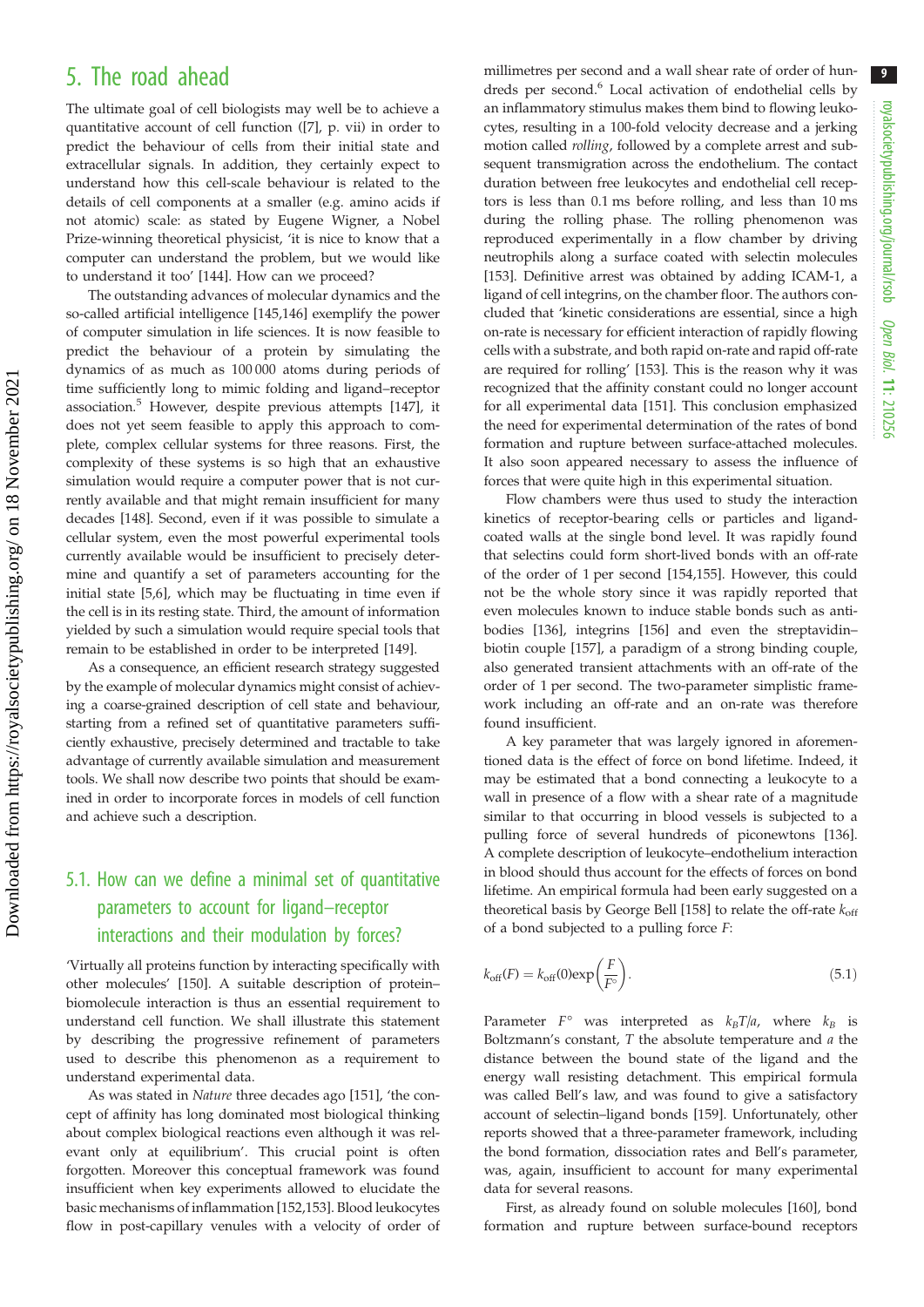### 5. The road ahead

The ultimate goal of cell biologists may well be to achieve a quantitative account of cell function ([7], p. vii) in order to predict the behaviour of cells from their initial state and extracellular signals. In addition, they certainly expect to understand how this cell-scale behaviour is related to the details of cell components at a smaller (e.g. amino acids if not atomic) scale: as stated by Eugene Wigner, a Nobel Prize-winning theoretical physicist, 'it is nice to know that a computer can understand the problem, but we would like to understand it too' [144]. How can we proceed?

The outstanding advances of molecular dynamics and the so-called artificial intelligence [145,146] exemplify the power of computer simulation in life sciences. It is now feasible to predict the behaviour of a protein by simulating the dynamics of as much as 100 000 atoms during periods of time sufficiently long to mimic folding and ligand–receptor association.<sup>5</sup> However, despite previous attempts [147], it does not yet seem feasible to apply this approach to complete, complex cellular systems for three reasons. First, the complexity of these systems is so high that an exhaustive simulation would require a computer power that is not currently available and that might remain insufficient for many decades [148]. Second, even if it was possible to simulate a cellular system, even the most powerful experimental tools currently available would be insufficient to precisely determine and quantify a set of parameters accounting for the initial state [5,6], which may be fluctuating in time even if the cell is in its resting state. Third, the amount of information yielded by such a simulation would require special tools that remain to be established in order to be interpreted [149].

As a consequence, an efficient research strategy suggested by the example of molecular dynamics might consist of achieving a coarse-grained description of cell state and behaviour, starting from a refined set of quantitative parameters sufficiently exhaustive, precisely determined and tractable to take advantage of currently available simulation and measurement tools. We shall now describe two points that should be examined in order to incorporate forces in models of cell function and achieve such a description.

### 5.1. How can we define a minimal set of quantitative parameters to account for ligand–receptor interactions and their modulation by forces?

'Virtually all proteins function by interacting specifically with other molecules' [150]. A suitable description of protein– biomolecule interaction is thus an essential requirement to understand cell function. We shall illustrate this statement by describing the progressive refinement of parameters used to describe this phenomenon as a requirement to understand experimental data.

As was stated in Nature three decades ago [151], 'the concept of affinity has long dominated most biological thinking about complex biological reactions even although it was relevant only at equilibrium'. This crucial point is often forgotten. Moreover this conceptual framework was found insufficient when key experiments allowed to elucidate the basic mechanisms of inflammation [152,153]. Blood leukocytes flow in post-capillary venules with a velocity of order of millimetres per second and a wall shear rate of order of hundreds per second.<sup>6</sup> Local activation of endothelial cells by an inflammatory stimulus makes them bind to flowing leukocytes, resulting in a 100-fold velocity decrease and a jerking motion called rolling, followed by a complete arrest and subsequent transmigration across the endothelium. The contact duration between free leukocytes and endothelial cell receptors is less than 0.1 ms before rolling, and less than 10 ms during the rolling phase. The rolling phenomenon was reproduced experimentally in a flow chamber by driving neutrophils along a surface coated with selectin molecules [153]. Definitive arrest was obtained by adding ICAM-1, a ligand of cell integrins, on the chamber floor. The authors concluded that 'kinetic considerations are essential, since a high on-rate is necessary for efficient interaction of rapidly flowing cells with a substrate, and both rapid on-rate and rapid off-rate are required for rolling' [153]. This is the reason why it was recognized that the affinity constant could no longer account for all experimental data [151]. This conclusion emphasized the need for experimental determination of the rates of bond formation and rupture between surface-attached molecules. It also soon appeared necessary to assess the influence of forces that were quite high in this experimental situation.

Flow chambers were thus used to study the interaction kinetics of receptor-bearing cells or particles and ligandcoated walls at the single bond level. It was rapidly found that selectins could form short-lived bonds with an off-rate of the order of 1 per second [154,155]. However, this could not be the whole story since it was rapidly reported that even molecules known to induce stable bonds such as antibodies [136], integrins [156] and even the streptavidin– biotin couple [157], a paradigm of a strong binding couple, also generated transient attachments with an off-rate of the order of 1 per second. The two-parameter simplistic framework including an off-rate and an on-rate was therefore found insufficient.

A key parameter that was largely ignored in aforementioned data is the effect of force on bond lifetime. Indeed, it may be estimated that a bond connecting a leukocyte to a wall in presence of a flow with a shear rate of a magnitude similar to that occurring in blood vessels is subjected to a pulling force of several hundreds of piconewtons [136]. A complete description of leukocyte–endothelium interaction in blood should thus account for the effects of forces on bond lifetime. An empirical formula had been early suggested on a theoretical basis by George Bell [158] to relate the off-rate  $k_{off}$ of a bond subjected to a pulling force F:

$$
k_{\text{off}}(F) = k_{\text{off}}(0) \exp\left(\frac{F}{F^{\circ}}\right). \tag{5.1}
$$

Parameter  $F^{\circ}$  was interpreted as  $k_BT/a$ , where  $k_B$  is Boltzmann's constant,  $T$  the absolute temperature and  $a$  the distance between the bound state of the ligand and the energy wall resisting detachment. This empirical formula was called Bell's law, and was found to give a satisfactory account of selectin–ligand bonds [159]. Unfortunately, other reports showed that a three-parameter framework, including the bond formation, dissociation rates and Bell's parameter, was, again, insufficient to account for many experimental data for several reasons.

First, as already found on soluble molecules [160], bond formation and rupture between surface-bound receptors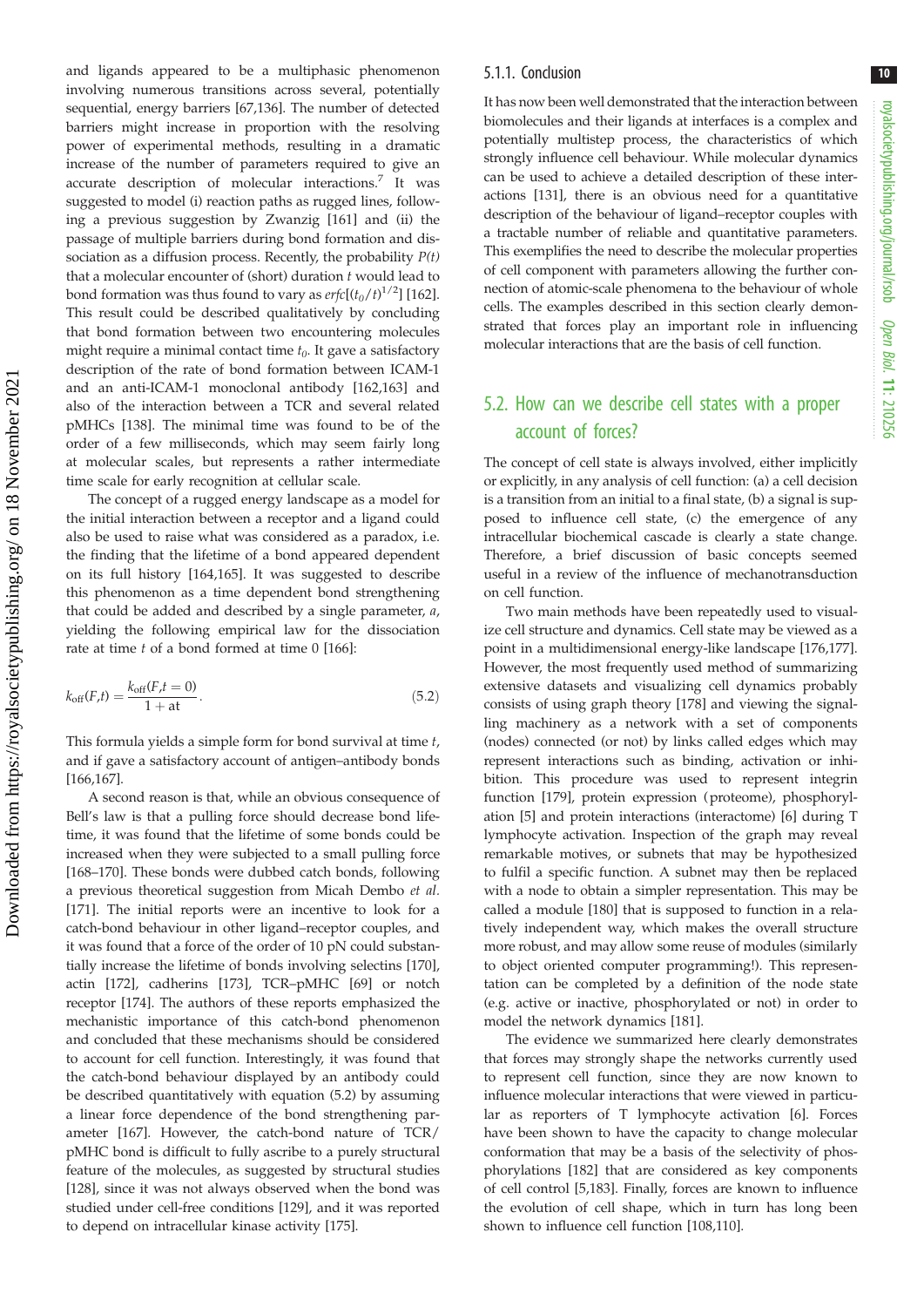and ligands appeared to be a multiphasic phenomenon involving numerous transitions across several, potentially sequential, energy barriers [67,136]. The number of detected barriers might increase in proportion with the resolving power of experimental methods, resulting in a dramatic increase of the number of parameters required to give an accurate description of molecular interactions.<sup>7</sup> It was suggested to model (i) reaction paths as rugged lines, following a previous suggestion by Zwanzig [161] and (ii) the passage of multiple barriers during bond formation and dissociation as a diffusion process. Recently, the probability  $P(t)$ that a molecular encounter of (short) duration  $t$  would lead to bond formation was thus found to vary as  $\text{erfc}[(t_0/t)^{1/2}]$  [162]. This result could be described qualitatively by concluding that bond formation between two encountering molecules might require a minimal contact time  $t_0$ . It gave a satisfactory description of the rate of bond formation between ICAM-1 and an anti-ICAM-1 monoclonal antibody [162,163] and also of the interaction between a TCR and several related pMHCs [138]. The minimal time was found to be of the order of a few milliseconds, which may seem fairly long at molecular scales, but represents a rather intermediate time scale for early recognition at cellular scale.

The concept of a rugged energy landscape as a model for the initial interaction between a receptor and a ligand could also be used to raise what was considered as a paradox, i.e. the finding that the lifetime of a bond appeared dependent on its full history [164,165]. It was suggested to describe this phenomenon as a time dependent bond strengthening that could be added and described by a single parameter, a, yielding the following empirical law for the dissociation rate at time  $t$  of a bond formed at time  $0$  [166]:

$$
k_{\text{off}}(F,t) = \frac{k_{\text{off}}(F,t=0)}{1 + at}.
$$
\n(5.2)

This formula yields a simple form for bond survival at time  $t$ , and if gave a satisfactory account of antigen–antibody bonds [166,167].

A second reason is that, while an obvious consequence of Bell's law is that a pulling force should decrease bond lifetime, it was found that the lifetime of some bonds could be increased when they were subjected to a small pulling force [168–170]. These bonds were dubbed catch bonds, following a previous theoretical suggestion from Micah Dembo et al. [171]. The initial reports were an incentive to look for a catch-bond behaviour in other ligand–receptor couples, and it was found that a force of the order of 10 pN could substantially increase the lifetime of bonds involving selectins [170], actin [172], cadherins [173], TCR–pMHC [69] or notch receptor [174]. The authors of these reports emphasized the mechanistic importance of this catch-bond phenomenon and concluded that these mechanisms should be considered to account for cell function. Interestingly, it was found that the catch-bond behaviour displayed by an antibody could be described quantitatively with equation (5.2) by assuming a linear force dependence of the bond strengthening parameter [167]. However, the catch-bond nature of TCR/ pMHC bond is difficult to fully ascribe to a purely structural feature of the molecules, as suggested by structural studies [128], since it was not always observed when the bond was studied under cell-free conditions [129], and it was reported to depend on intracellular kinase activity [175].

#### 5.1.1. Conclusion

It has now been well demonstrated that the interaction between biomolecules and their ligands at interfaces is a complex and potentially multistep process, the characteristics of which strongly influence cell behaviour. While molecular dynamics can be used to achieve a detailed description of these interactions [131], there is an obvious need for a quantitative description of the behaviour of ligand–receptor couples with a tractable number of reliable and quantitative parameters. This exemplifies the need to describe the molecular properties of cell component with parameters allowing the further connection of atomic-scale phenomena to the behaviour of whole cells. The examples described in this section clearly demonstrated that forces play an important role in influencing molecular interactions that are the basis of cell function.

### 5.2. How can we describe cell states with a proper account of forces?

The concept of cell state is always involved, either implicitly or explicitly, in any analysis of cell function: (a) a cell decision is a transition from an initial to a final state, (b) a signal is supposed to influence cell state, (c) the emergence of any intracellular biochemical cascade is clearly a state change. Therefore, a brief discussion of basic concepts seemed useful in a review of the influence of mechanotransduction on cell function.

Two main methods have been repeatedly used to visualize cell structure and dynamics. Cell state may be viewed as a point in a multidimensional energy-like landscape [176,177]. However, the most frequently used method of summarizing extensive datasets and visualizing cell dynamics probably consists of using graph theory [178] and viewing the signalling machinery as a network with a set of components (nodes) connected (or not) by links called edges which may represent interactions such as binding, activation or inhibition. This procedure was used to represent integrin function [179], protein expression (proteome), phosphorylation [5] and protein interactions (interactome) [6] during T lymphocyte activation. Inspection of the graph may reveal remarkable motives, or subnets that may be hypothesized to fulfil a specific function. A subnet may then be replaced with a node to obtain a simpler representation. This may be called a module [180] that is supposed to function in a relatively independent way, which makes the overall structure more robust, and may allow some reuse of modules (similarly to object oriented computer programming!). This representation can be completed by a definition of the node state (e.g. active or inactive, phosphorylated or not) in order to model the network dynamics [181].

The evidence we summarized here clearly demonstrates that forces may strongly shape the networks currently used to represent cell function, since they are now known to influence molecular interactions that were viewed in particular as reporters of T lymphocyte activation [6]. Forces have been shown to have the capacity to change molecular conformation that may be a basis of the selectivity of phosphorylations [182] that are considered as key components of cell control [5,183]. Finally, forces are known to influence the evolution of cell shape, which in turn has long been shown to influence cell function [108,110].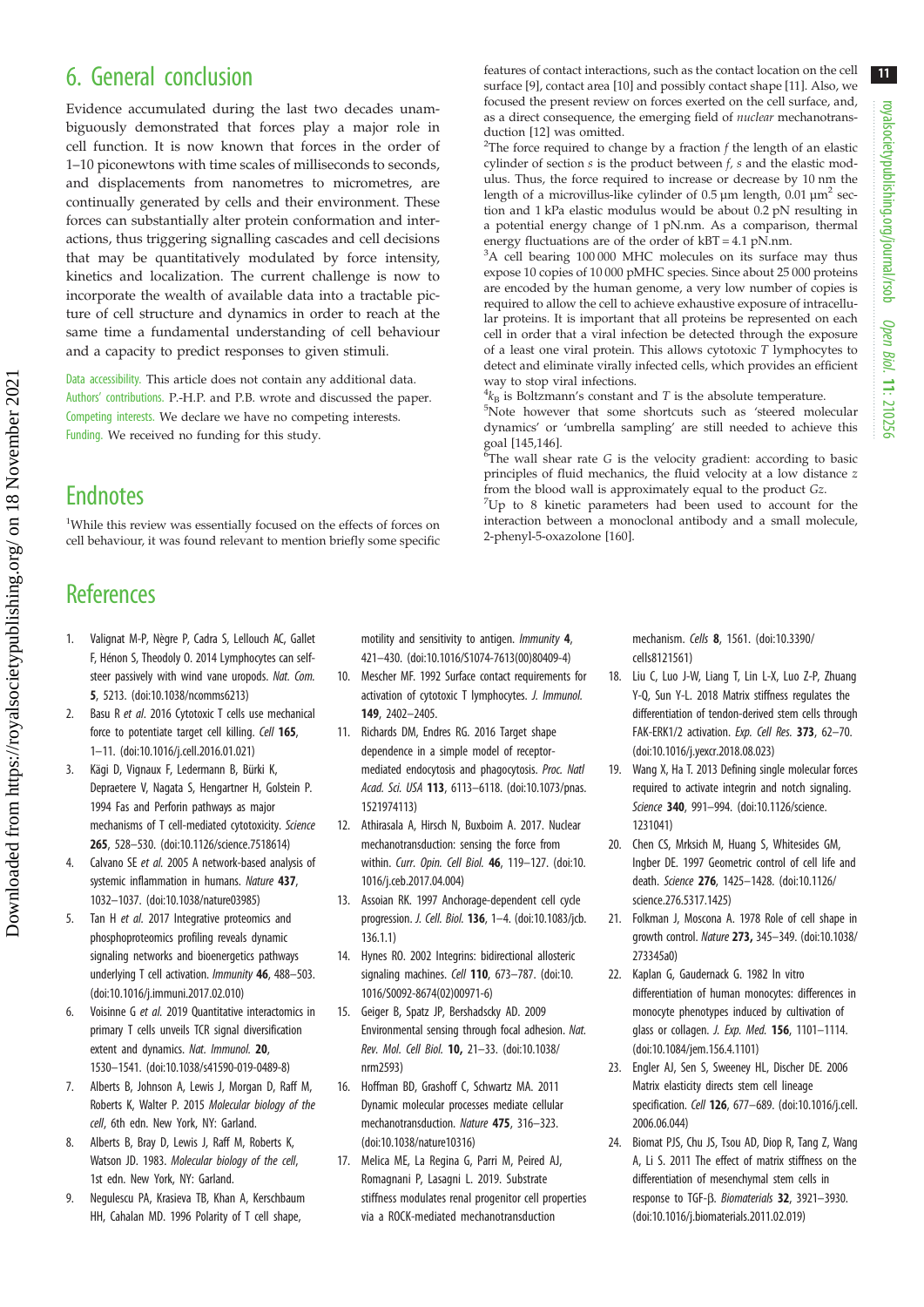# 6. General conclusion

Evidence accumulated during the last two decades unambiguously demonstrated that forces play a major role in cell function. It is now known that forces in the order of 1–10 piconewtons with time scales of milliseconds to seconds, and displacements from nanometres to micrometres, are continually generated by cells and their environment. These forces can substantially alter protein conformation and interactions, thus triggering signalling cascades and cell decisions that may be quantitatively modulated by force intensity, kinetics and localization. The current challenge is now to incorporate the wealth of available data into a tractable picture of cell structure and dynamics in order to reach at the same time a fundamental understanding of cell behaviour and a capacity to predict responses to given stimuli.

Data accessibility. This article does not contain any additional data. Authors' contributions. P.-H.P. and P.B. wrote and discussed the paper. Competing interests. We declare we have no competing interests. Funding. We received no funding for this study.

## **Endnotes**

<sup>1</sup>While this review was essentially focused on the effects of forces on cell behaviour, it was found relevant to mention briefly some specific

# **References**

Downloaded from https://royalsocietypublishing.org/ on 18 November 2021

Downloaded from https://royalsocietypublishing.org/ on 18 November 2021

- 1. Valignat M-P, Nègre P, Cadra S, Lellouch AC, Gallet F, Hénon S, Theodoly O. 2014 Lymphocytes can selfsteer passively with wind vane uropods. Nat. Com. 5, 5213. ([doi:10.1038/ncomms6213](http://dx.doi.org/10.1038/ncomms6213))
- 2. Basu R et al. 2016 Cytotoxic T cells use mechanical force to potentiate target cell killing. Cell 165, 1–11. ([doi:10.1016/j.cell.2016.01.021](http://dx.doi.org/10.1016/j.cell.2016.01.021))
- 3. Kägi D, Vignaux F, Ledermann B, Bürki K, Depraetere V, Nagata S, Hengartner H, Golstein P. 1994 Fas and Perforin pathways as major mechanisms of T cell-mediated cytotoxicity. Science 265, 528–530. ([doi:10.1126/science.7518614\)](http://dx.doi.org/10.1126/science.7518614)
- 4. Calvano SE et al. 2005 A network-based analysis of systemic inflammation in humans. Nature 437. 1032–1037. [\(doi:10.1038/nature03985](http://dx.doi.org/10.1038/nature03985))
- 5. Tan H et al. 2017 Integrative proteomics and phosphoproteomics profiling reveals dynamic signaling networks and bioenergetics pathways underlying T cell activation. Immunity 46, 488–503. [\(doi:10.1016/j.immuni.2017.02.010](http://dx.doi.org/10.1016/j.immuni.2017.02.010))
- 6. Voisinne G et al. 2019 Quantitative interactomics in primary T cells unveils TCR signal diversification extent and dynamics. Nat. Immunol. 20, 1530–1541. [\(doi:10.1038/s41590-019-0489-8\)](http://dx.doi.org/10.1038/s41590-019-0489-8)
- 7. Alberts B, Johnson A, Lewis J, Morgan D, Raff M, Roberts K, Walter P. 2015 Molecular biology of the cell, 6th edn. New York, NY: Garland.
- 8. Alberts B, Bray D, Lewis J, Raff M, Roberts K, Watson JD. 1983. Molecular biology of the cell, 1st edn. New York, NY: Garland.
- 9. Negulescu PA, Krasieva TB, Khan A, Kerschbaum HH, Cahalan MD. 1996 Polarity of T cell shape,

motility and sensitivity to antigen. Immunity 4, 421–430. ([doi:10.1016/S1074-7613\(00\)80409-4\)](http://dx.doi.org/10.1016/S1074-7613(00)80409-4)

- 10. Mescher MF. 1992 Surface contact requirements for activation of cytotoxic T lymphocytes. J. Immunol. 149, 2402–2405.
- 11. Richards DM, Endres RG. 2016 Target shape dependence in a simple model of receptormediated endocytosis and phagocytosis. Proc. Natl Acad. Sci. USA 113, 6113–6118. ([doi:10.1073/pnas.](http://dx.doi.org/10.1073/pnas.1521974113) [1521974113\)](http://dx.doi.org/10.1073/pnas.1521974113)
- 12. Athirasala A, Hirsch N, Buxboim A. 2017. Nuclear mechanotransduction: sensing the force from within. Curr. Opin. Cell Biol. 46, 119–127. ([doi:10.](http://dx.doi.org/10.1016/j.ceb.2017.04.004) [1016/j.ceb.2017.04.004\)](http://dx.doi.org/10.1016/j.ceb.2017.04.004)
- 13. Assoian RK. 1997 Anchorage-dependent cell cycle progression. J. Cell. Biol. 136, 1–4. ([doi:10.1083/jcb.](http://dx.doi.org/10.1083/jcb.136.1.1) [136.1.1](http://dx.doi.org/10.1083/jcb.136.1.1))
- 14. Hynes RO. 2002 Integrins: bidirectional allosteric signaling machines. Cell 110, 673-787. ([doi:10.](http://dx.doi.org/10.1016/S0092-8674(02)00971-6) [1016/S0092-8674\(02\)00971-6](http://dx.doi.org/10.1016/S0092-8674(02)00971-6))
- 15. Geiger B, Spatz JP, Bershadscky AD. 2009 Environmental sensing through focal adhesion. Nat. Rev. Mol. Cell Biol. 10, 21–33. [\(doi:10.1038/](http://dx.doi.org/10.1038/nrm2593) [nrm2593\)](http://dx.doi.org/10.1038/nrm2593)
- 16. Hoffman BD, Grashoff C, Schwartz MA. 2011 Dynamic molecular processes mediate cellular mechanotransduction. Nature 475, 316–323. [\(doi:10.1038/nature10316](http://dx.doi.org/10.1038/nature10316))
- 17. Melica ME, La Regina G, Parri M, Peired AJ, Romagnani P, Lasagni L. 2019. Substrate stiffness modulates renal progenitor cell properties via a ROCK-mediated mechanotransduction

mechanism. Cells 8, 1561. [\(doi:10.3390/](http://dx.doi.org/10.3390/cells8121561) [cells8121561](http://dx.doi.org/10.3390/cells8121561))

- 18. Liu C, Luo J-W, Liang T, Lin L-X, Luo Z-P, Zhuang Y-Q, Sun Y-L. 2018 Matrix stiffness regulates the differentiation of tendon-derived stem cells through FAK-ERK1/2 activation. Exp. Cell Res. 373, 62-70. ([doi:10.1016/j.yexcr.2018.08.023](http://dx.doi.org/10.1016/j.yexcr.2018.08.023))
- 19. Wang X, Ha T. 2013 Defining single molecular forces required to activate integrin and notch signaling. Science 340, 991-994. [\(doi:10.1126/science.](http://dx.doi.org/10.1126/science.1231041) [1231041](http://dx.doi.org/10.1126/science.1231041))
- 20. Chen CS, Mrksich M, Huang S, Whitesides GM, Ingber DE. 1997 Geometric control of cell life and death. Science 276, 1425–1428. [\(doi:10.1126/](http://dx.doi.org/10.1126/science.276.5317.1425) [science.276.5317.1425](http://dx.doi.org/10.1126/science.276.5317.1425))
- 21. Folkman J, Moscona A. 1978 Role of cell shape in growth control. Nature 273, 345–349. [\(doi:10.1038/](http://dx.doi.org/10.1038/273345a0) [273345a0](http://dx.doi.org/10.1038/273345a0))
- 22. Kaplan G, Gaudernack G. 1982 In vitro differentiation of human monocytes: differences in monocyte phenotypes induced by cultivation of glass or collagen. J. Exp. Med. 156, 1101–1114. ([doi:10.1084/jem.156.4.1101\)](http://dx.doi.org/10.1084/jem.156.4.1101)
- 23. Engler AJ, Sen S, Sweeney HL, Discher DE. 2006 Matrix elasticity directs stem cell lineage specification. Cell 126, 677–689. ([doi:10.1016/j.cell.](http://dx.doi.org/10.1016/j.cell.2006.06.044) [2006.06.044](http://dx.doi.org/10.1016/j.cell.2006.06.044))
- 24. Biomat PJS, Chu JS, Tsou AD, Diop R, Tang Z, Wang A, Li S. 2011 The effect of matrix stiffness on the differentiation of mesenchymal stem cells in response to TGF-β. Biomaterials 32, 3921–3930. ([doi:10.1016/j.biomaterials.2011.02.019\)](http://dx.doi.org/10.1016/j.biomaterials.2011.02.019)

features of contact interactions, such as the contact location on the cell surface [9], contact area [10] and possibly contact shape [11]. Also, we focused the present review on forces exerted on the cell surface, and, as a direct consequence, the emerging field of nuclear mechanotrans-

duction [12] was omitted. 2 The force required to change by a fraction f the length of an elastic cylinder of section  $s$  is the product between  $f$ ,  $s$  and the elastic modulus. Thus, the force required to increase or decrease by 10 nm the length of a microvillus-like cylinder of  $0.5 \,\mu$ m length,  $0.01 \,\mu$ m<sup>2</sup> section and 1 kPa elastic modulus would be about 0.2 pN resulting in a potential energy change of 1 pN.nm. As a comparison, thermal energy fluctuations are of the order of kBT = 4.1 pN.nm.

<sup>3</sup>A cell bearing 100 000 MHC molecules on its surface may thus expose 10 copies of 10 000 pMHC species. Since about 25 000 proteins are encoded by the human genome, a very low number of copies is required to allow the cell to achieve exhaustive exposure of intracellular proteins. It is important that all proteins be represented on each cell in order that a viral infection be detected through the exposure of a least one viral protein. This allows cytotoxic T lymphocytes to detect and eliminate virally infected cells, which provides an efficient way to stop viral infections.

 $\frac{4}{5}$  is Boltzmann's constant and T is the absolute temperature.<br> $\frac{5}{5}$ Note however that some shortcuts such as 'steered mol

Note however that some shortcuts such as 'steered molecular dynamics' or 'umbrella sampling' are still needed to achieve this goal [145,146].

 $\overline{6}$ The wall shear rate G is the velocity gradient: according to basic principles of fluid mechanics, the fluid velocity at a low distance z from the blood wall is approximately equal to the product Gz.

 $7$ Up to 8 kinetic parameters had been used to account for the interaction between a monoclonal antibody and a small molecule, 2-phenyl-5-oxazolone [160].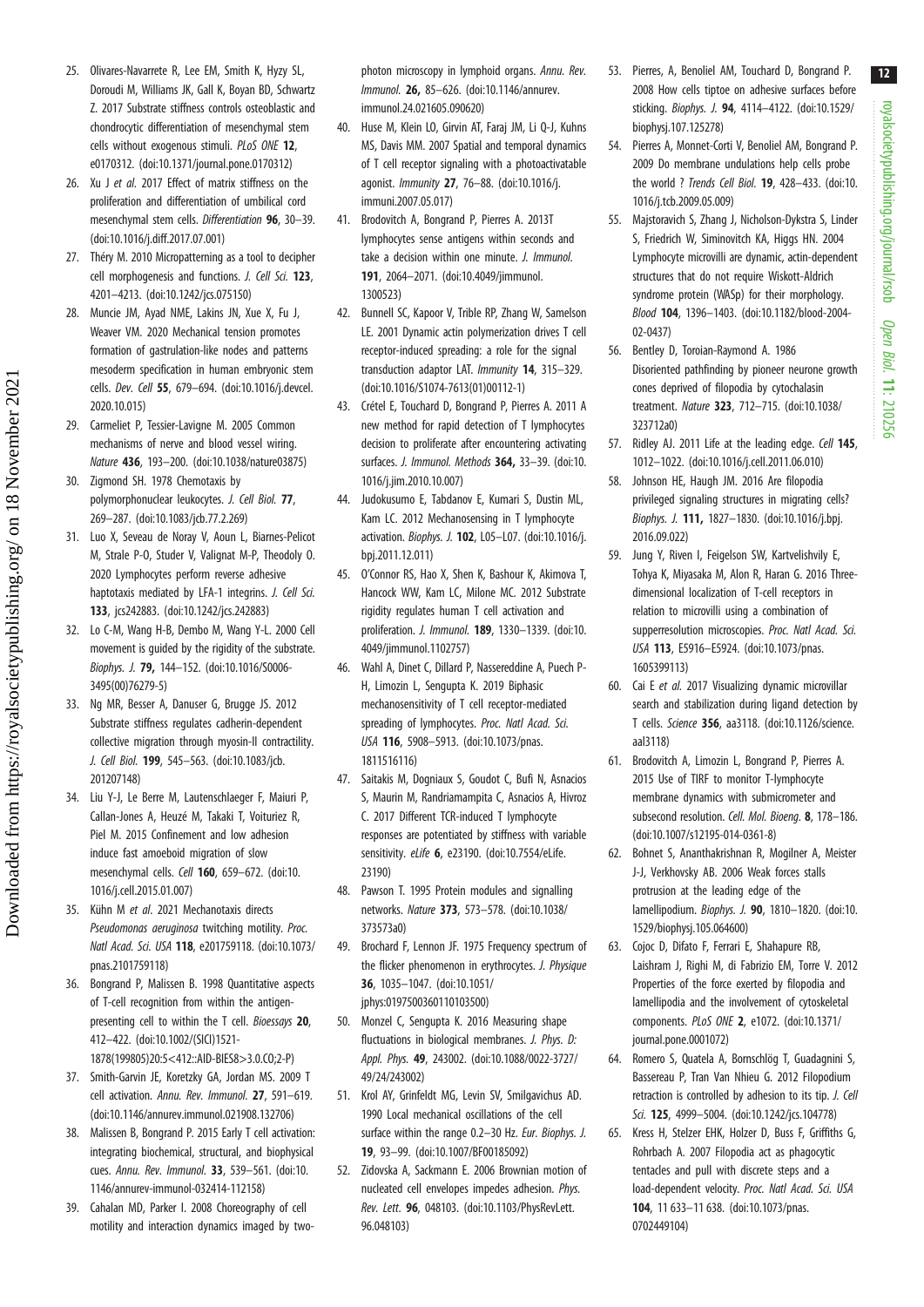royalsocietypublishing.org/journal/rsob royalsocietypublishing.org/journal/rsob Open Biol. 11: 210256

12

- 53. Pierres, A, Benoliel AM, Touchard D, Bongrand P. 2008 How cells tiptoe on adhesive surfaces before sticking. Biophys. J. 94, 4114–4122. ([doi:10.1529/](http://dx.doi.org/10.1529/biophysj.107.125278) 54. Pierres A, Monnet-Corti V, Benoliel AM, Bongrand P. 2009 Do membrane undulations help cells probe the world ? Trends Cell Biol. 19, 428–433. [\(doi:10.](http://dx.doi.org/10.1016/j.tcb.2009.05.009) 55. Majstoravich S, Zhang J, Nicholson-Dykstra S, Linder S, Friedrich W, Siminovitch KA, Higgs HN. 2004 Lymphocyte microvilli are dynamic, actin-dependent structures that do not require Wiskott-Aldrich syndrome protein (WASp) for their morphology. Blood 104, 1396–1403. [\(doi:10.1182/blood-2004-](http://dx.doi.org/10.1182/blood-2004-02-0437)
- [02-0437](http://dx.doi.org/10.1182/blood-2004-02-0437)) 56. Bentley D, Toroian-Raymond A. 1986 Disoriented pathfinding by pioneer neurone growth cones deprived of filopodia by cytochalasin treatment. Nature 323, 712–715. [\(doi:10.1038/](http://dx.doi.org/10.1038/323712a0) [323712a0](http://dx.doi.org/10.1038/323712a0))

[biophysj.107.125278](http://dx.doi.org/10.1529/biophysj.107.125278))

[1016/j.tcb.2009.05.009\)](http://dx.doi.org/10.1016/j.tcb.2009.05.009)

- 57. Ridley AJ. 2011 Life at the leading edge. Cell 145, 1012–1022. [\(doi:10.1016/j.cell.2011.06.010\)](http://dx.doi.org/10.1016/j.cell.2011.06.010)
- 58. Johnson HE, Haugh JM. 2016 Are filopodia privileged signaling structures in migrating cells? Biophys. J. 111, 1827–1830. ([doi:10.1016/j.bpj.](http://dx.doi.org/10.1016/j.bpj.2016.09.022) [2016.09.022](http://dx.doi.org/10.1016/j.bpj.2016.09.022))
- 59. Jung Y, Riven I, Feigelson SW, Kartvelishvily E, Tohya K, Miyasaka M, Alon R, Haran G. 2016 Threedimensional localization of T-cell receptors in relation to microvilli using a combination of supperresolution microscopies. Proc. Natl Acad. Sci. USA 113, E5916–E5924. ([doi:10.1073/pnas.](http://dx.doi.org/10.1073/pnas.1605399113) [1605399113](http://dx.doi.org/10.1073/pnas.1605399113))
- 60. Cai E et al. 2017 Visualizing dynamic microvillar search and stabilization during ligand detection by T cells. Science 356, aa3118. [\(doi:10.1126/science.](http://dx.doi.org/10.1126/science.aal3118) [aal3118](http://dx.doi.org/10.1126/science.aal3118))
- 61. Brodovitch A, Limozin L, Bongrand P, Pierres A. 2015 Use of TIRF to monitor T-lymphocyte membrane dynamics with submicrometer and subsecond resolution. Cell. Mol. Bioena. 8, 178-186. ([doi:10.1007/s12195-014-0361-8](http://dx.doi.org/10.1007/s12195-014-0361-8))
- 62. Bohnet S, Ananthakrishnan R, Mogilner A, Meister J-J, Verkhovsky AB. 2006 Weak forces stalls protrusion at the leading edge of the lamellipodium. Biophys. J. 90, 1810–1820. [\(doi:10.](http://dx.doi.org/10.1529/biophysj.105.064600) [1529/biophysj.105.064600](http://dx.doi.org/10.1529/biophysj.105.064600))
- 63. Cojoc D, Difato F, Ferrari E, Shahapure RB, Laishram J, Righi M, di Fabrizio EM, Torre V. 2012 Properties of the force exerted by filopodia and lamellipodia and the involvement of cytoskeletal components. PLoS ONE 2, e1072. ([doi:10.1371/](http://dx.doi.org/10.1371/journal.pone.0001072) [journal.pone.0001072\)](http://dx.doi.org/10.1371/journal.pone.0001072)
- 64. Romero S, Quatela A, Bornschlög T, Guadagnini S, Bassereau P, Tran Van Nhieu G. 2012 Filopodium retraction is controlled by adhesion to its tip. J. Cell Sci. **125**, 4999-5004. (doi:10.1242/ics.104778)
- 65. Kress H, Stelzer EHK, Holzer D, Buss F, Griffiths G, Rohrbach A. 2007 Filopodia act as phagocytic tentacles and pull with discrete steps and a load-dependent velocity. Proc. Natl Acad. Sci. USA 104, 11 633–11 638. [\(doi:10.1073/pnas.](http://dx.doi.org/10.1073/pnas.0702449104) [0702449104](http://dx.doi.org/10.1073/pnas.0702449104))
- 25. Olivares-Navarrete R, Lee EM, Smith K, Hyzy SL, Doroudi M, Williams JK, Gall K, Boyan BD, Schwartz Z. 2017 Substrate stiffness controls osteoblastic and chondrocytic differentiation of mesenchymal stem cells without exogenous stimuli. PLoS ONE 12, e0170312. ([doi:10.1371/journal.pone.0170312](http://dx.doi.org/10.1371/journal.pone.0170312))
- 26. Xu J et al. 2017 Effect of matrix stiffness on the proliferation and differentiation of umbilical cord mesenchymal stem cells. Differentiation 96, 30–39. [\(doi:10.1016/j.diff.2017.07.001\)](http://dx.doi.org/10.1016/j.diff.2017.07.001)
- 27. Théry M. 2010 Micropatterning as a tool to decipher cell morphogenesis and functions. J. Cell Sci. 123, 4201–4213. [\(doi:10.1242/jcs.075150\)](http://dx.doi.org/10.1242/jcs.075150)
- 28. Muncie JM, Ayad NME, Lakins JN, Xue X, Fu J, Weaver VM. 2020 Mechanical tension promotes formation of gastrulation-like nodes and patterns mesoderm specification in human embryonic stem cells. Dev. Cell 55, 679–694. [\(doi:10.1016/j.devcel.](http://dx.doi.org/10.1016/j.devcel.2020.10.015) [2020.10.015\)](http://dx.doi.org/10.1016/j.devcel.2020.10.015)
- 29. Carmeliet P, Tessier-Lavigne M. 2005 Common mechanisms of nerve and blood vessel wiring. Nature 436, 193–200. ([doi:10.1038/nature03875\)](http://dx.doi.org/10.1038/nature03875)
- 30. Zigmond SH. 1978 Chemotaxis by polymorphonuclear leukocytes. J. Cell Biol. 77, 269–287. ([doi:10.1083/jcb.77.2.269](http://dx.doi.org/10.1083/jcb.77.2.269))
- 31. Luo X, Seveau de Noray V, Aoun L, Biarnes-Pelicot M, Strale P-O, Studer V, Valignat M-P, Theodoly O. 2020 Lymphocytes perform reverse adhesive haptotaxis mediated by LFA-1 integrins. *J. Cell Sci.* 133, jcs242883. [\(doi:10.1242/jcs.242883](http://dx.doi.org/10.1242/jcs.242883))
- 32. Lo C-M, Wang H-B, Dembo M, Wang Y-L. 2000 Cell movement is guided by the rigidity of the substrate. Biophys. J. 79, 144–152. ([doi:10.1016/S0006-](http://dx.doi.org/10.1016/S0006-3495(00)76279-5) [3495\(00\)76279-5\)](http://dx.doi.org/10.1016/S0006-3495(00)76279-5)
- 33. Ng MR, Besser A, Danuser G, Brugge JS. 2012 Substrate stiffness regulates cadherin-dependent collective migration through myosin-II contractility. J. Cell Biol. 199, 545–563. ([doi:10.1083/jcb.](http://dx.doi.org/10.1083/jcb.201207148) [201207148](http://dx.doi.org/10.1083/jcb.201207148))
- 34. Liu Y-J, Le Berre M, Lautenschlaeger F, Maiuri P, Callan-Jones A, Heuzé M, Takaki T, Voituriez R, Piel M. 2015 Confinement and low adhesion induce fast amoeboid migration of slow mesenchymal cells. Cell 160, 659–672. ([doi:10.](http://dx.doi.org/10.1016/j.cell.2015.01.007) [1016/j.cell.2015.01.007\)](http://dx.doi.org/10.1016/j.cell.2015.01.007)
- 35. Kühn M et al. 2021 Mechanotaxis directs Pseudomonas aeruginosa twitching motility. Proc. Natl Acad. Sci. USA 118, e201759118. ([doi:10.1073/](http://dx.doi.org/10.1073/pnas.2101759118) [pnas.2101759118](http://dx.doi.org/10.1073/pnas.2101759118))
- 36. Bongrand P, Malissen B. 1998 Quantitative aspects of T-cell recognition from within the antigenpresenting cell to within the T cell. *Bioessays* 20, 412–422. ([doi:10.1002/\(SICI\)1521-](http://dx.doi.org/10.1002/(SICI)1521-1878(199805)20:5%3C412::AID-BIES8%3E3.0.CO;2-P) [1878\(199805\)20:5<412::AID-BIES8>3.0.CO;2-P\)](http://dx.doi.org/10.1002/(SICI)1521-1878(199805)20:5%3C412::AID-BIES8%3E3.0.CO;2-P)
- 37. Smith-Garvin JE, Koretzky GA, Jordan MS. 2009 T cell activation. Annu. Rev. Immunol. 27, 591–619. [\(doi:10.1146/annurev.immunol.021908.132706](http://dx.doi.org/10.1146/annurev.immunol.021908.132706))
- 38. Malissen B, Bongrand P. 2015 Early T cell activation: integrating biochemical, structural, and biophysical cues. Annu. Rev. Immunol. 33, 539–561. [\(doi:10.](http://dx.doi.org/10.1146/annurev-immunol-032414-112158) [1146/annurev-immunol-032414-112158\)](http://dx.doi.org/10.1146/annurev-immunol-032414-112158)
- 39. Cahalan MD, Parker I. 2008 Choreography of cell motility and interaction dynamics imaged by two-

photon microscopy in lymphoid organs. Annu. Rev. Immunol. 26, 85–626. [\(doi:10.1146/annurev.](http://dx.doi.org/10.1146/annurev.immunol.24.021605.090620) [immunol.24.021605.090620](http://dx.doi.org/10.1146/annurev.immunol.24.021605.090620))

- 40. Huse M, Klein LO, Girvin AT, Faraj JM, Li Q-J, Kuhns MS, Davis MM. 2007 Spatial and temporal dynamics of T cell receptor signaling with a photoactivatable agonist. Immunity 27, 76–88. [\(doi:10.1016/j.](http://dx.doi.org/10.1016/j.immuni.2007.05.017) [immuni.2007.05.017\)](http://dx.doi.org/10.1016/j.immuni.2007.05.017)
- 41. Brodovitch A, Bongrand P, Pierres A. 2013T lymphocytes sense antigens within seconds and take a decision within one minute. J. Immunol. 191, 2064–2071. [\(doi:10.4049/jimmunol.](http://dx.doi.org/10.4049/jimmunol.1300523) [1300523\)](http://dx.doi.org/10.4049/jimmunol.1300523)
- 42. Bunnell SC, Kapoor V, Trible RP, Zhang W, Samelson LE. 2001 Dynamic actin polymerization drives T cell receptor-induced spreading: a role for the signal transduction adaptor LAT. Immunity 14, 315–329. [\(doi:10.1016/S1074-7613\(01\)00112-1](http://dx.doi.org/10.1016/S1074-7613(01)00112-1))
- 43. Crétel E, Touchard D, Bongrand P, Pierres A. 2011 A new method for rapid detection of T lymphocytes decision to proliferate after encountering activating surfaces. J. Immunol. Methods 364, 33–39. [\(doi:10.](http://dx.doi.org/10.1016/j.jim.2010.10.007) [1016/j.jim.2010.10.007](http://dx.doi.org/10.1016/j.jim.2010.10.007))
- 44. Judokusumo E, Tabdanov E, Kumari S, Dustin ML, Kam LC. 2012 Mechanosensing in T lymphocyte activation. Biophys. J. 102, L05–L07. [\(doi:10.1016/j.](http://dx.doi.org/10.1016/j.bpj.2011.12.011) [bpj.2011.12.011](http://dx.doi.org/10.1016/j.bpj.2011.12.011))
- 45. O'Connor RS, Hao X, Shen K, Bashour K, Akimova T, Hancock WW, Kam LC, Milone MC. 2012 Substrate rigidity regulates human T cell activation and proliferation. J. Immunol. 189, 1330–1339. [\(doi:10.](http://dx.doi.org/10.4049/jimmunol.1102757) [4049/jimmunol.1102757\)](http://dx.doi.org/10.4049/jimmunol.1102757)
- 46. Wahl A, Dinet C, Dillard P, Nassereddine A, Puech P-H, Limozin L, Sengupta K. 2019 Biphasic mechanosensitivity of T cell receptor-mediated spreading of lymphocytes. Proc. Natl Acad. Sci. USA 116, 5908–5913. ([doi:10.1073/pnas.](http://dx.doi.org/10.1073/pnas.1811516116) [1811516116\)](http://dx.doi.org/10.1073/pnas.1811516116)
- 47. Saitakis M, Dogniaux S, Goudot C, Bufi N, Asnacios S, Maurin M, Randriamampita C, Asnacios A, Hivroz C. 2017 Different TCR-induced T lymphocyte responses are potentiated by stiffness with variable sensitivity. eLife 6, e23190. [\(doi:10.7554/eLife.](http://dx.doi.org/10.7554/eLife.23190) [23190\)](http://dx.doi.org/10.7554/eLife.23190)
- 48. Pawson T. 1995 Protein modules and signalling networks. Nature 373, 573–578. [\(doi:10.1038/](http://dx.doi.org/10.1038/373573a0) [373573a0\)](http://dx.doi.org/10.1038/373573a0)
- 49. Brochard F, Lennon JF. 1975 Frequency spectrum of the flicker phenomenon in erythrocytes. J. Physique 36, 1035–1047. ([doi:10.1051/](http://dx.doi.org/10.1051/jphys:0197500360110103500) [jphys:0197500360110103500\)](http://dx.doi.org/10.1051/jphys:0197500360110103500)
- 50. Monzel C, Sengupta K. 2016 Measuring shape fluctuations in biological membranes. *J. Phys. D:* Appl. Phys. 49, 243002. [\(doi:10.1088/0022-3727/](http://dx.doi.org/10.1088/0022-3727/49/24/243002) [49/24/243002\)](http://dx.doi.org/10.1088/0022-3727/49/24/243002)
- 51. Krol AY, Grinfeldt MG, Levin SV, Smilgavichus AD. 1990 Local mechanical oscillations of the cell surface within the range 0.2-30 Hz. Eur. Biophys. J. 19, 93–99. [\(doi:10.1007/BF00185092](http://dx.doi.org/10.1007/BF00185092))
- 52. Zidovska A, Sackmann E. 2006 Brownian motion of nucleated cell envelopes impedes adhesion. Phys. Rev. Lett. 96, 048103. [\(doi:10.1103/PhysRevLett.](http://dx.doi.org/10.1103/PhysRevLett.96.048103) [96.048103\)](http://dx.doi.org/10.1103/PhysRevLett.96.048103)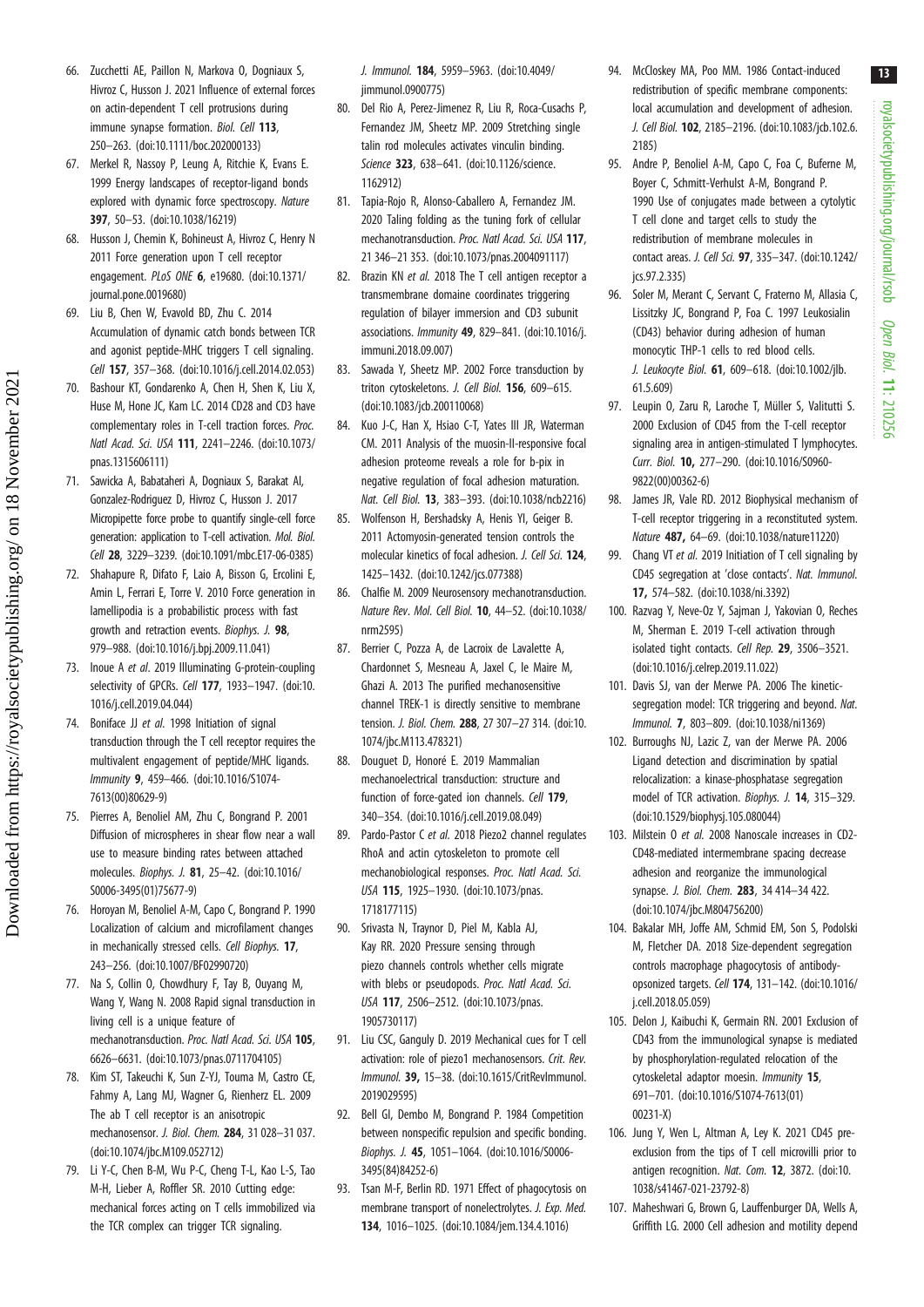- 66. Zucchetti AE, Paillon N, Markova O, Dogniaux S, Hivroz C, Husson J. 2021 Influence of external forces on actin-dependent T cell protrusions during immune synapse formation. Biol. Cell 113, 250–263. ([doi:10.1111/boc.202000133\)](http://dx.doi.org/10.1111/boc.202000133)
- 67. Merkel R, Nassoy P, Leung A, Ritchie K, Evans E. 1999 Energy landscapes of receptor-ligand bonds explored with dynamic force spectroscopy. Nature 397, 50–53. ([doi:10.1038/16219](http://dx.doi.org/10.1038/16219))
- 68. Husson J, Chemin K, Bohineust A, Hivroz C, Henry N 2011 Force generation upon T cell receptor engagement. PLoS ONE 6, e19680. ([doi:10.1371/](http://dx.doi.org/10.1371/journal.pone.0019680) [journal.pone.0019680\)](http://dx.doi.org/10.1371/journal.pone.0019680)
- 69. Liu B, Chen W, Evavold BD, Zhu C. 2014 Accumulation of dynamic catch bonds between TCR and agonist peptide-MHC triggers T cell signaling. Cell 157, 357–368. ([doi:10.1016/j.cell.2014.02.053](http://dx.doi.org/10.1016/j.cell.2014.02.053))
- 70. Bashour KT, Gondarenko A, Chen H, Shen K, Liu X, Huse M, Hone JC, Kam LC. 2014 CD28 and CD3 have complementary roles in T-cell traction forces. Proc. Natl Acad. Sci. USA 111, 2241–2246. ([doi:10.1073/](http://dx.doi.org/10.1073/pnas.1315606111) [pnas.1315606111](http://dx.doi.org/10.1073/pnas.1315606111))
- 71. Sawicka A, Babataheri A, Dogniaux S, Barakat AI, Gonzalez-Rodriguez D, Hivroz C, Husson J. 2017 Micropipette force probe to quantify single-cell force generation: application to T-cell activation. Mol. Biol. Cell 28, 3229–3239. [\(doi:10.1091/mbc.E17-06-0385\)](http://dx.doi.org/10.1091/mbc.E17-06-0385)
- 72. Shahapure R, Difato F, Laio A, Bisson G, Ercolini E, Amin L, Ferrari E, Torre V. 2010 Force generation in lamellipodia is a probabilistic process with fast growth and retraction events. Biophys. J. 98, 979–988. ([doi:10.1016/j.bpj.2009.11.041\)](http://dx.doi.org/10.1016/j.bpj.2009.11.041)
- 73. Inoue A et al. 2019 Illuminating G-protein-coupling selectivity of GPCRs. Cell 177, 1933-1947. [\(doi:10.](http://dx.doi.org/10.1016/j.cell.2019.04.044) [1016/j.cell.2019.04.044\)](http://dx.doi.org/10.1016/j.cell.2019.04.044)
- 74. Boniface JJ et al. 1998 Initiation of signal transduction through the T cell receptor requires the multivalent engagement of peptide/MHC ligands. Immunity 9, 459–466. [\(doi:10.1016/S1074-](http://dx.doi.org/10.1016/S1074-7613(00)80629-9) [7613\(00\)80629-9\)](http://dx.doi.org/10.1016/S1074-7613(00)80629-9)
- 75. Pierres A, Benoliel AM, Zhu C, Bongrand P. 2001 Diffusion of microspheres in shear flow near a wall use to measure binding rates between attached molecules. Biophys. J. 81, 25–42. ([doi:10.1016/](http://dx.doi.org/10.1016/S0006-3495(01)75677-9) [S0006-3495\(01\)75677-9\)](http://dx.doi.org/10.1016/S0006-3495(01)75677-9)
- 76. Horoyan M, Benoliel A-M, Capo C, Bongrand P. 1990 Localization of calcium and microfilament changes in mechanically stressed cells. Cell Biophys. 17, 243–256. ([doi:10.1007/BF02990720](http://dx.doi.org/10.1007/BF02990720))
- 77. Na S, Collin O, Chowdhury F, Tay B, Ouyang M, Wang Y, Wang N. 2008 Rapid signal transduction in living cell is a unique feature of mechanotransduction. Proc. Natl Acad. Sci. USA 105, 6626–6631. [\(doi:10.1073/pnas.0711704105](http://dx.doi.org/10.1073/pnas.0711704105))
- 78. Kim ST, Takeuchi K, Sun Z-YJ, Touma M, Castro CE, Fahmy A, Lang MJ, Wagner G, Rienherz EL. 2009 The ab T cell receptor is an anisotropic mechanosensor. J. Biol. Chem. 284, 31 028–31 037. [\(doi:10.1074/jbc.M109.052712\)](http://dx.doi.org/10.1074/jbc.M109.052712)
- 79. Li Y-C, Chen B-M, Wu P-C, Cheng T-L, Kao L-S, Tao M-H, Lieber A, Roffler SR. 2010 Cutting edge: mechanical forces acting on T cells immobilized via the TCR complex can trigger TCR signaling.

J. Immunol. 184, 5959–5963. ([doi:10.4049/](http://dx.doi.org/10.4049/jimmunol.0900775) [jimmunol.0900775\)](http://dx.doi.org/10.4049/jimmunol.0900775)

- 80. Del Rio A, Perez-Jimenez R, Liu R, Roca-Cusachs P, Fernandez JM, Sheetz MP. 2009 Stretching single talin rod molecules activates vinculin binding. Science 323, 638-641. ([doi:10.1126/science.](http://dx.doi.org/10.1126/science.1162912) [1162912\)](http://dx.doi.org/10.1126/science.1162912)
- 81. Tapia-Rojo R, Alonso-Caballero A, Fernandez JM. 2020 Taling folding as the tuning fork of cellular mechanotransduction. Proc. Natl Acad. Sci. USA 117, 21 346–21 353. ([doi:10.1073/pnas.2004091117](http://dx.doi.org/10.1073/pnas.2004091117))
- 82. Brazin KN et al. 2018 The T cell antigen receptor a transmembrane domaine coordinates triggering regulation of bilayer immersion and CD3 subunit associations. Immunity 49, 829–841. [\(doi:10.1016/j.](http://dx.doi.org/10.1016/j.immuni.2018.09.007) [immuni.2018.09.007\)](http://dx.doi.org/10.1016/j.immuni.2018.09.007)
- 83. Sawada Y, Sheetz MP. 2002 Force transduction by triton cytoskeletons. J. Cell Biol. 156, 609–615. [\(doi:10.1083/jcb.200110068\)](http://dx.doi.org/10.1083/jcb.200110068)
- 84. Kuo J-C, Han X, Hsiao C-T, Yates III JR, Waterman CM. 2011 Analysis of the muosin-II-responsive focal adhesion proteome reveals a role for b-pix in negative regulation of focal adhesion maturation. Nat. Cell Biol. 13, 383–393. ([doi:10.1038/ncb2216\)](http://dx.doi.org/10.1038/ncb2216)
- 85. Wolfenson H, Bershadsky A, Henis YI, Geiger B. 2011 Actomyosin-generated tension controls the molecular kinetics of focal adhesion. *J. Cell Sci.* 124. 1425–1432. [\(doi:10.1242/jcs.077388\)](http://dx.doi.org/10.1242/jcs.077388)
- 86. Chalfie M. 2009 Neurosensory mechanotransduction. Nature Rev. Mol. Cell Biol. 10, 44–52. [\(doi:10.1038/](http://dx.doi.org/10.1038/nrm2595) [nrm2595\)](http://dx.doi.org/10.1038/nrm2595)
- 87. Berrier C, Pozza A, de Lacroix de Lavalette A, Chardonnet S, Mesneau A, Jaxel C, le Maire M, Ghazi A. 2013 The purified mechanosensitive channel TREK-1 is directly sensitive to membrane tension. J. Biol. Chem. 288, 27 307–27 314. [\(doi:10.](http://dx.doi.org/10.1074/jbc.M113.478321) [1074/jbc.M113.478321\)](http://dx.doi.org/10.1074/jbc.M113.478321)
- 88. Douguet D, Honoré E. 2019 Mammalian mechanoelectrical transduction: structure and function of force-gated ion channels. Cell 179. 340–354. ([doi:10.1016/j.cell.2019.08.049](http://dx.doi.org/10.1016/j.cell.2019.08.049))
- 89. Pardo-Pastor C et al. 2018 Piezo2 channel regulates RhoA and actin cytoskeleton to promote cell mechanobiological responses. Proc. Natl Acad. Sci. USA 115, 1925–1930. ([doi:10.1073/pnas.](http://dx.doi.org/10.1073/pnas.1718177115) [1718177115\)](http://dx.doi.org/10.1073/pnas.1718177115)
- 90. Srivasta N, Traynor D, Piel M, Kabla AJ, Kay RR. 2020 Pressure sensing through piezo channels controls whether cells migrate with blebs or pseudopods. Proc. Natl Acad. Sci. USA 117, 2506–2512. ([doi:10.1073/pnas.](http://dx.doi.org/10.1073/pnas.1905730117) [1905730117\)](http://dx.doi.org/10.1073/pnas.1905730117)
- 91. Liu CSC, Ganguly D. 2019 Mechanical cues for T cell activation: role of piezo1 mechanosensors. Crit. Rev. Immunol. 39, 15–38. ([doi:10.1615/CritRevImmunol.](http://dx.doi.org/10.1615/CritRevImmunol.2019029595) [2019029595\)](http://dx.doi.org/10.1615/CritRevImmunol.2019029595)
- 92. Bell GI, Dembo M, Bongrand P. 1984 Competition between nonspecific repulsion and specific bonding. Biophys. J. 45, 1051–1064. ([doi:10.1016/S0006-](http://dx.doi.org/10.1016/S0006-3495(84)84252-6) [3495\(84\)84252-6](http://dx.doi.org/10.1016/S0006-3495(84)84252-6))
- 93. Tsan M-F, Berlin RD. 1971 Effect of phagocytosis on membrane transport of nonelectrolytes. J. Exp. Med. 134, 1016–1025. [\(doi:10.1084/jem.134.4.1016](http://dx.doi.org/10.1084/jem.134.4.1016))
- 94. McCloskey MA, Poo MM. 1986 Contact-induced redistribution of specific membrane components: local accumulation and development of adhesion. J. Cell Biol. 102, 2185–2196. ([doi:10.1083/jcb.102.6.](http://dx.doi.org/10.1083/jcb.102.6.2185) [2185](http://dx.doi.org/10.1083/jcb.102.6.2185))
- 95. Andre P, Benoliel A-M, Capo C, Foa C, Buferne M, Boyer C, Schmitt-Verhulst A-M, Bongrand P. 1990 Use of conjugates made between a cytolytic T cell clone and target cells to study the redistribution of membrane molecules in contact areas. J. Cell Sci. 97, 335–347. [\(doi:10.1242/](http://dx.doi.org/10.1242/jcs.97.2.335) [jcs.97.2.335\)](http://dx.doi.org/10.1242/jcs.97.2.335)
- 96. Soler M, Merant C, Servant C, Fraterno M, Allasia C, Lissitzky JC, Bongrand P, Foa C. 1997 Leukosialin (CD43) behavior during adhesion of human monocytic THP-1 cells to red blood cells. J. Leukocyte Biol. 61, 609–618. [\(doi:10.1002/jlb.](http://dx.doi.org/10.1002/jlb.61.5.609) [61.5.609](http://dx.doi.org/10.1002/jlb.61.5.609))
- 97. Leupin O, Zaru R, Laroche T, Müller S, Valitutti S. 2000 Exclusion of CD45 from the T-cell receptor signaling area in antigen-stimulated T lymphocytes. Curr. Biol. 10, 277–290. ([doi:10.1016/S0960-](http://dx.doi.org/10.1016/S0960-9822(00)00362-6) [9822\(00\)00362-6](http://dx.doi.org/10.1016/S0960-9822(00)00362-6))
- 98. James JR, Vale RD. 2012 Biophysical mechanism of T-cell receptor triggering in a reconstituted system. Nature 487, 64–69. ([doi:10.1038/nature11220\)](http://dx.doi.org/10.1038/nature11220)
- 99. Chang VT et al. 2019 Initiation of T cell signaling by CD45 segregation at 'close contacts'. Nat. Immunol. 17, 574–582. ([doi:10.1038/ni.3392\)](http://dx.doi.org/10.1038/ni.3392)
- 100. Razvag Y, Neve-Oz Y, Sajman J, Yakovian O, Reches M, Sherman E. 2019 T-cell activation through isolated tight contacts. Cell Rep. 29, 3506–3521. ([doi:10.1016/j.celrep.2019.11.022\)](http://dx.doi.org/10.1016/j.celrep.2019.11.022)
- 101. Davis SJ, van der Merwe PA. 2006 The kineticsegregation model: TCR triggering and beyond. Nat. Immunol. 7, 803–809. ([doi:10.1038/ni1369\)](http://dx.doi.org/10.1038/ni1369)
- 102. Burroughs NJ, Lazic Z, van der Merwe PA. 2006 Ligand detection and discrimination by spatial relocalization: a kinase-phosphatase segregation model of TCR activation. Biophys. J. **14**, 315–329. ([doi:10.1529/biophysj.105.080044](http://dx.doi.org/10.1529/biophysj.105.080044))
- 103. Milstein O et al. 2008 Nanoscale increases in CD2- CD48-mediated intermembrane spacing decrease adhesion and reorganize the immunological synapse. *J. Biol. Chem.* **283**, 34 414-34 422. ([doi:10.1074/jbc.M804756200\)](http://dx.doi.org/10.1074/jbc.M804756200)
- 104. Bakalar MH, Joffe AM, Schmid EM, Son S, Podolski M, Fletcher DA. 2018 Size-dependent segregation controls macrophage phagocytosis of antibodyopsonized targets. Cell 174, 131–142. [\(doi:10.1016/](http://dx.doi.org/10.1016/j.cell.2018.05.059) [j.cell.2018.05.059\)](http://dx.doi.org/10.1016/j.cell.2018.05.059)
- 105. Delon J, Kaibuchi K, Germain RN. 2001 Exclusion of CD43 from the immunological synapse is mediated by phosphorylation-regulated relocation of the cytoskeletal adaptor moesin. Immunity 15, 691–701. [\(doi:10.1016/S1074-7613\(01\)](http://dx.doi.org/10.1016/S1074-7613(01)00231-X) [00231-X](http://dx.doi.org/10.1016/S1074-7613(01)00231-X))
- 106. Jung Y, Wen L, Altman A, Ley K. 2021 CD45 preexclusion from the tips of T cell microvilli prior to antigen recognition. Nat. Com. 12, 3872. ([doi:10.](http://dx.doi.org/10.1038/s41467-021-23792-8) [1038/s41467-021-23792-8\)](http://dx.doi.org/10.1038/s41467-021-23792-8)
- 107. Maheshwari G, Brown G, Lauffenburger DA, Wells A, Griffith LG. 2000 Cell adhesion and motility depend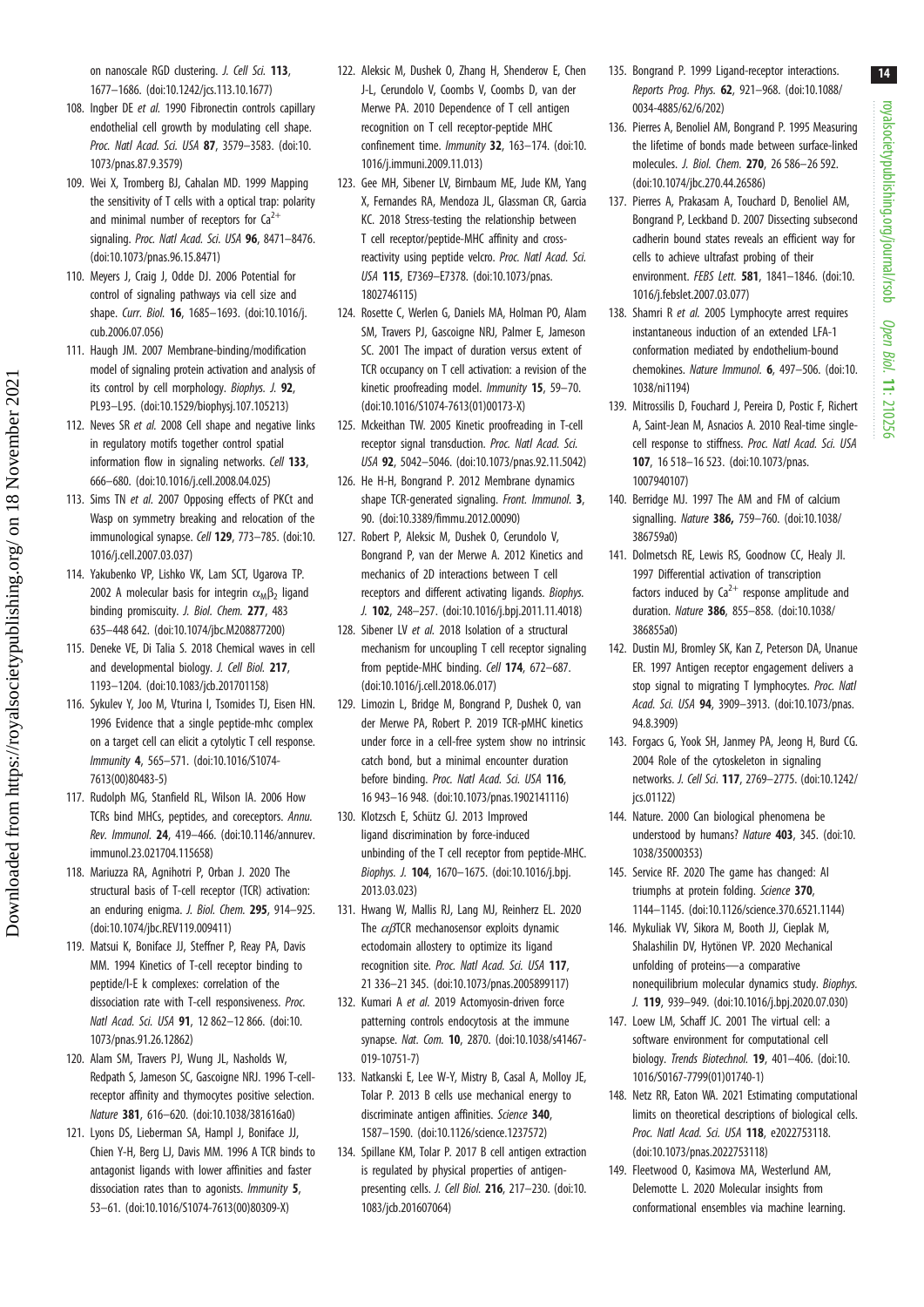on nanoscale RGD clustering. J. Cell Sci. 113, 1677–1686. [\(doi:10.1242/jcs.113.10.1677](http://dx.doi.org/10.1242/jcs.113.10.1677))

- 108. Ingber DE et al. 1990 Fibronectin controls capillary endothelial cell growth by modulating cell shape. Proc. Natl Acad. Sci. USA 87, 3579–3583. ([doi:10.](http://dx.doi.org/10.1073/pnas.87.9.3579) [1073/pnas.87.9.3579\)](http://dx.doi.org/10.1073/pnas.87.9.3579)
- 109. Wei X, Tromberg BJ, Cahalan MD. 1999 Mapping the sensitivity of T cells with a optical trap: polarity and minimal number of receptors for  $Ca^{2+}$ signaling. Proc. Natl Acad. Sci. USA 96, 8471-8476. [\(doi:10.1073/pnas.96.15.8471\)](http://dx.doi.org/10.1073/pnas.96.15.8471)
- 110. Meyers J, Craig J, Odde DJ. 2006 Potential for control of signaling pathways via cell size and shape. Curr. Biol. 16, 1685-1693. [\(doi:10.1016/j.](http://dx.doi.org/10.1016/j.cub.2006.07.056) [cub.2006.07.056](http://dx.doi.org/10.1016/j.cub.2006.07.056))
- 111. Haugh JM. 2007 Membrane-binding/modification model of signaling protein activation and analysis of its control by cell morphology. Biophys. J. 92, PL93–L95. ([doi:10.1529/biophysj.107.105213\)](http://dx.doi.org/10.1529/biophysj.107.105213)
- 112. Neves SR et al. 2008 Cell shape and negative links in regulatory motifs together control spatial information flow in signaling networks. Cell 133, 666–680. ([doi:10.1016/j.cell.2008.04.025](http://dx.doi.org/10.1016/j.cell.2008.04.025))
- 113. Sims TN et al. 2007 Opposing effects of PKCt and Wasp on symmetry breaking and relocation of the immunological synapse. Cell 129, 773-785. ([doi:10.](http://dx.doi.org/10.1016/j.cell.2007.03.037) [1016/j.cell.2007.03.037\)](http://dx.doi.org/10.1016/j.cell.2007.03.037)
- 114. Yakubenko VP, Lishko VK, Lam SCT, Ugarova TP. 2002 A molecular basis for integrin  $\alpha_{\text{M}}$ B<sub>2</sub> ligand binding promiscuity. J. Biol. Chem. 277, 483 635–448 642. ([doi:10.1074/jbc.M208877200](http://dx.doi.org/10.1074/jbc.M208877200))
- 115. Deneke VE, Di Talia S. 2018 Chemical waves in cell and developmental biology. J. Cell Biol. 217, 1193–1204. [\(doi:10.1083/jcb.201701158\)](http://dx.doi.org/10.1083/jcb.201701158)

Downloaded from https://royalsocietypublishing.org/ on 18 November 2021

Downloaded from https://royalsocietypublishing.org/ on 18 November 2021

- 116. Sykulev Y, Joo M, Vturina I, Tsomides TJ, Eisen HN. 1996 Evidence that a single peptide-mhc complex on a target cell can elicit a cytolytic T cell response. Immunity 4, 565–571. [\(doi:10.1016/S1074-](http://dx.doi.org/10.1016/S1074-7613(00)80483-5) [7613\(00\)80483-5\)](http://dx.doi.org/10.1016/S1074-7613(00)80483-5)
- 117. Rudolph MG, Stanfield RL, Wilson IA. 2006 How TCRs bind MHCs, peptides, and coreceptors. Annu. Rev. Immunol. 24, 419–466. ([doi:10.1146/annurev.](http://dx.doi.org/10.1146/annurev.immunol.23.021704.115658) [immunol.23.021704.115658](http://dx.doi.org/10.1146/annurev.immunol.23.021704.115658))
- 118. Mariuzza RA, Agnihotri P, Orban J. 2020 The structural basis of T-cell receptor (TCR) activation: an enduring enigma. J. Biol. Chem. 295, 914–925. [\(doi:10.1074/jbc.REV119.009411\)](http://dx.doi.org/10.1074/jbc.REV119.009411)
- 119. Matsui K, Boniface JJ, Steffner P, Reay PA, Davis MM. 1994 Kinetics of T-cell receptor binding to peptide/I-E k complexes: correlation of the dissociation rate with T-cell responsiveness. Proc. Natl Acad. Sci. USA 91, 12 862–12 866. [\(doi:10.](http://dx.doi.org/10.1073/pnas.91.26.12862) [1073/pnas.91.26.12862](http://dx.doi.org/10.1073/pnas.91.26.12862))
- 120. Alam SM, Travers PJ, Wung JL, Nasholds W, Redpath S, Jameson SC, Gascoigne NRJ. 1996 T-cellreceptor affinity and thymocytes positive selection. Nature 381, 616–620. ([doi:10.1038/381616a0\)](http://dx.doi.org/10.1038/381616a0)
- 121. Lyons DS, Lieberman SA, Hampl J, Boniface JJ, Chien Y-H, Berg LJ, Davis MM. 1996 A TCR binds to antagonist ligands with lower affinities and faster dissociation rates than to agonists. Immunity 5, 53–61. [\(doi:10.1016/S1074-7613\(00\)80309-X](http://dx.doi.org/10.1016/S1074-7613(00)80309-X))
- 122. Aleksic M, Dushek O, Zhang H, Shenderov E, Chen J-L, Cerundolo V, Coombs V, Coombs D, van der Merwe PA. 2010 Dependence of T cell antigen recognition on T cell receptor-peptide MHC confinement time. Immunity 32, 163–174. [\(doi:10.](http://dx.doi.org/10.1016/j.immuni.2009.11.013) [1016/j.immuni.2009.11.013\)](http://dx.doi.org/10.1016/j.immuni.2009.11.013)
- 123. Gee MH, Sibener LV, Birnbaum ME, Jude KM, Yang X, Fernandes RA, Mendoza JL, Glassman CR, Garcia KC. 2018 Stress-testing the relationship between T cell receptor/peptide-MHC affinity and crossreactivity using peptide velcro. Proc. Natl Acad. Sci. USA 115, E7369–E7378. [\(doi:10.1073/pnas.](http://dx.doi.org/10.1073/pnas.1802746115) [1802746115\)](http://dx.doi.org/10.1073/pnas.1802746115)
- 124. Rosette C, Werlen G, Daniels MA, Holman PO, Alam SM, Travers PJ, Gascoigne NRJ, Palmer E, Jameson SC. 2001 The impact of duration versus extent of TCR occupancy on T cell activation: a revision of the kinetic proofreading model. Immunity 15, 59–70. [\(doi:10.1016/S1074-7613\(01\)00173-X](http://dx.doi.org/10.1016/S1074-7613(01)00173-X))
- 125. Mckeithan TW. 2005 Kinetic proofreading in T-cell receptor signal transduction. Proc. Natl Acad. Sci. USA 92, 5042–5046. [\(doi:10.1073/pnas.92.11.5042\)](http://dx.doi.org/10.1073/pnas.92.11.5042)
- 126. He H-H, Bongrand P. 2012 Membrane dynamics shape TCR-generated signaling. Front. Immunol. 3, 90. ([doi:10.3389/fimmu.2012.00090](http://dx.doi.org/10.3389/fimmu.2012.00090))
- 127. Robert P, Aleksic M, Dushek O, Cerundolo V, Bongrand P, van der Merwe A. 2012 Kinetics and mechanics of 2D interactions between T cell receptors and different activating ligands. Biophys. J. 102, 248–257. [\(doi:10.1016/j.bpj.2011.11.4018\)](http://dx.doi.org/10.1016/j.bpj.2011.11.4018)
- 128. Sibener LV et al. 2018 Isolation of a structural mechanism for uncoupling T cell receptor signaling from peptide-MHC binding. Cell 174, 672-687. [\(doi:10.1016/j.cell.2018.06.017\)](http://dx.doi.org/10.1016/j.cell.2018.06.017)
- 129. Limozin L, Bridge M, Bongrand P, Dushek O, van der Merwe PA, Robert P. 2019 TCR-pMHC kinetics under force in a cell-free system show no intrinsic catch bond, but a minimal encounter duration before binding. Proc. Natl Acad. Sci. USA 116, 16 943–16 948. ([doi:10.1073/pnas.1902141116](http://dx.doi.org/10.1073/pnas.1902141116))
- 130. Klotzsch E, Schütz GJ. 2013 Improved ligand discrimination by force-induced unbinding of the T cell receptor from peptide-MHC. Biophys. J. 104, 1670–1675. ([doi:10.1016/j.bpj.](http://dx.doi.org/10.1016/j.bpj.2013.03.023) [2013.03.023\)](http://dx.doi.org/10.1016/j.bpj.2013.03.023)
- 131. Hwang W, Mallis RJ, Lang MJ, Reinherz EL. 2020 The  $\alpha$ *B*TCR mechanosensor exploits dynamic ectodomain allostery to optimize its ligand recognition site. Proc. Natl Acad. Sci. USA 117, 21 336–21 345. ([doi:10.1073/pnas.2005899117](http://dx.doi.org/10.1073/pnas.2005899117))
- 132. Kumari A et al. 2019 Actomyosin-driven force patterning controls endocytosis at the immune synapse. Nat. Com. 10, 2870. ([doi:10.1038/s41467-](http://dx.doi.org/10.1038/s41467-019-10751-7) [019-10751-7](http://dx.doi.org/10.1038/s41467-019-10751-7))
- 133. Natkanski E, Lee W-Y, Mistry B, Casal A, Molloy JE, Tolar P. 2013 B cells use mechanical energy to discriminate antigen affinities. Science 340, 1587–1590. [\(doi:10.1126/science.1237572](http://dx.doi.org/10.1126/science.1237572))
- 134. Spillane KM, Tolar P. 2017 B cell antigen extraction is regulated by physical properties of antigenpresenting cells. J. Cell Biol. 216, 217–230. [\(doi:10.](http://dx.doi.org/10.1083/jcb.201607064) [1083/jcb.201607064\)](http://dx.doi.org/10.1083/jcb.201607064)
- 135. Bongrand P. 1999 Ligand-receptor interactions. Reports Prog. Phys. 62, 921–968. [\(doi:10.1088/](http://dx.doi.org/10.1088/0034-4885/62/6/202) [0034-4885/62/6/202\)](http://dx.doi.org/10.1088/0034-4885/62/6/202)
- 136. Pierres A, Benoliel AM, Bongrand P. 1995 Measuring the lifetime of bonds made between surface-linked molecules. J. Biol. Chem. 270, 26 586–26 592. ([doi:10.1074/jbc.270.44.26586](http://dx.doi.org/10.1074/jbc.270.44.26586))
- 137. Pierres A, Prakasam A, Touchard D, Benoliel AM, Bongrand P, Leckband D. 2007 Dissecting subsecond cadherin bound states reveals an efficient way for cells to achieve ultrafast probing of their environment. FEBS Lett. 581, 1841–1846. [\(doi:10.](http://dx.doi.org/10.1016/j.febslet.2007.03.077) [1016/j.febslet.2007.03.077\)](http://dx.doi.org/10.1016/j.febslet.2007.03.077)
- 138. Shamri R et al. 2005 Lymphocyte arrest requires instantaneous induction of an extended LFA-1 conformation mediated by endothelium-bound chemokines. Nature Immunol. 6, 497–506. [\(doi:10.](http://dx.doi.org/10.1038/ni1194) [1038/ni1194](http://dx.doi.org/10.1038/ni1194))
- 139. Mitrossilis D, Fouchard J, Pereira D, Postic F, Richert A, Saint-Jean M, Asnacios A. 2010 Real-time singlecell response to stiffness. Proc. Natl Acad. Sci. USA 107, 16 518–16 523. [\(doi:10.1073/pnas.](http://dx.doi.org/10.1073/pnas.1007940107) [1007940107](http://dx.doi.org/10.1073/pnas.1007940107))
- 140. Berridge MJ. 1997 The AM and FM of calcium signalling. Nature 386, 759–760. ([doi:10.1038/](http://dx.doi.org/10.1038/386759a0) [386759a0](http://dx.doi.org/10.1038/386759a0))
- 141. Dolmetsch RE, Lewis RS, Goodnow CC, Healy JI. 1997 Differential activation of transcription factors induced by  $Ca^{2+}$  response amplitude and duration. Nature 386, 855–858. ([doi:10.1038/](http://dx.doi.org/10.1038/386855a0) [386855a0](http://dx.doi.org/10.1038/386855a0))
- 142. Dustin MJ, Bromley SK, Kan Z, Peterson DA, Unanue ER. 1997 Antigen receptor engagement delivers a stop signal to migrating T lymphocytes. Proc. Natl Acad. Sci. USA 94, 3909–3913. ([doi:10.1073/pnas.](http://dx.doi.org/10.1073/pnas.94.8.3909) [94.8.3909\)](http://dx.doi.org/10.1073/pnas.94.8.3909)
- 143. Forgacs G, Yook SH, Janmey PA, Jeong H, Burd CG. 2004 Role of the cytoskeleton in signaling networks. J. Cell Sci. 117, 2769–2775. [\(doi:10.1242/](http://dx.doi.org/10.1242/jcs.01122) [jcs.01122](http://dx.doi.org/10.1242/jcs.01122))
- 144. Nature. 2000 Can biological phenomena be understood by humans? Nature 403, 345. ([doi:10.](http://dx.doi.org/10.1038/35000353) [1038/35000353\)](http://dx.doi.org/10.1038/35000353)
- 145. Service RF. 2020 The game has changed: AI triumphs at protein folding. Science 370, 1144–1145. [\(doi:10.1126/science.370.6521.1144](http://dx.doi.org/10.1126/science.370.6521.1144))
- 146. Mykuliak VV, Sikora M, Booth JJ, Cieplak M, Shalashilin DV, Hytönen VP. 2020 Mechanical unfolding of proteins—a comparative nonequilibrium molecular dynamics study. Biophys. J. 119, 939–949. [\(doi:10.1016/j.bpj.2020.07.030](http://dx.doi.org/10.1016/j.bpj.2020.07.030))
- 147. Loew LM, Schaff JC. 2001 The virtual cell: a software environment for computational cell biology. Trends Biotechnol. 19, 401–406. [\(doi:10.](http://dx.doi.org/10.1016/S0167-7799(01)01740-1) [1016/S0167-7799\(01\)01740-1](http://dx.doi.org/10.1016/S0167-7799(01)01740-1))
- 148. Netz RR, Eaton WA. 2021 Estimating computational limits on theoretical descriptions of biological cells. Proc. Natl Acad. Sci. USA 118, e2022753118. ([doi:10.1073/pnas.2022753118\)](http://dx.doi.org/10.1073/pnas.2022753118)
- 149. Fleetwood O, Kasimova MA, Westerlund AM, Delemotte L. 2020 Molecular insights from conformational ensembles via machine learning.